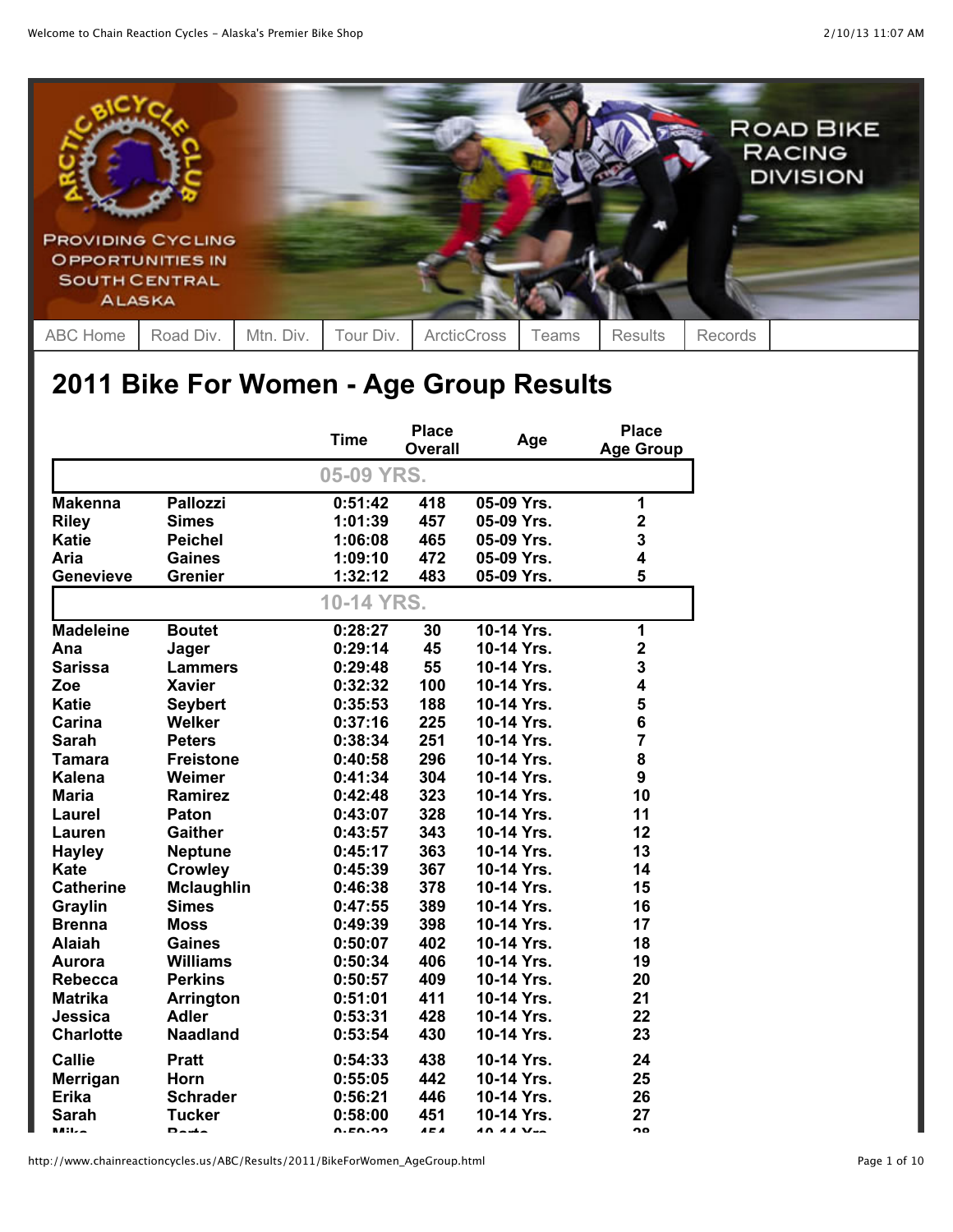

## **2011 Bike For Women - Age Group Results**

|                  |                   | <b>Time</b> | <b>Place</b> | Age              | <b>Place</b>            |
|------------------|-------------------|-------------|--------------|------------------|-------------------------|
|                  |                   |             | Overall      |                  | <b>Age Group</b>        |
|                  |                   | 05-09 YRS.  |              |                  |                         |
| <b>Makenna</b>   | <b>Pallozzi</b>   | 0:51:42     | 418          | 05-09 Yrs.       | 1                       |
| <b>Riley</b>     | <b>Simes</b>      | 1:01:39     | 457          | 05-09 Yrs.       | $\overline{\mathbf{c}}$ |
| <b>Katie</b>     | <b>Peichel</b>    | 1:06:08     | 465          | 05-09 Yrs.       | 3                       |
| Aria             | <b>Gaines</b>     | 1:09:10     | 472          | 05-09 Yrs.       | 4                       |
| <b>Genevieve</b> | <b>Grenier</b>    | 1:32:12     | 483          | 05-09 Yrs.       | 5                       |
|                  |                   | 10-14 YRS.  |              |                  |                         |
| <b>Madeleine</b> | <b>Boutet</b>     | 0:28:27     | 30           | 10-14 Yrs.       | 1                       |
| Ana              | Jager             | 0:29:14     | 45           | 10-14 Yrs.       | $\mathbf 2$             |
| <b>Sarissa</b>   | <b>Lammers</b>    | 0:29:48     | 55           | 10-14 Yrs.       | 3                       |
| Zoe              | <b>Xavier</b>     | 0:32:32     | 100          | 10-14 Yrs.       | 4                       |
| <b>Katie</b>     | <b>Seybert</b>    | 0:35:53     | 188          | 10-14 Yrs.       | 5                       |
| Carina           | Welker            | 0:37:16     | 225          | 10-14 Yrs.       | 6                       |
| <b>Sarah</b>     | <b>Peters</b>     | 0:38:34     | 251          | 10-14 Yrs.       | $\overline{7}$          |
| <b>Tamara</b>    | <b>Freistone</b>  | 0:40:58     | 296          | 10-14 Yrs.       | 8                       |
| <b>Kalena</b>    | Weimer            | 0:41:34     | 304          | 10-14 Yrs.       | 9                       |
| <b>Maria</b>     | <b>Ramirez</b>    | 0:42:48     | 323          | 10-14 Yrs.       | 10                      |
| Laurel           | Paton             | 0:43:07     | 328          | 10-14 Yrs.       | 11                      |
| Lauren           | <b>Gaither</b>    | 0:43:57     | 343          | 10-14 Yrs.       | 12                      |
| <b>Hayley</b>    | <b>Neptune</b>    | 0:45:17     | 363          | 10-14 Yrs.       | 13                      |
| <b>Kate</b>      | <b>Crowley</b>    | 0:45:39     | 367          | 10-14 Yrs.       | 14                      |
| <b>Catherine</b> | <b>Mclaughlin</b> | 0:46:38     | 378          | 10-14 Yrs.       | 15                      |
| Graylin          | <b>Simes</b>      | 0:47:55     | 389          | 10-14 Yrs.       | 16                      |
| <b>Brenna</b>    | <b>Moss</b>       | 0:49:39     | 398          | 10-14 Yrs.       | 17                      |
| <b>Alaiah</b>    | <b>Gaines</b>     | 0:50:07     | 402          | 10-14 Yrs.       | 18                      |
| Aurora           | <b>Williams</b>   | 0:50:34     | 406          | 10-14 Yrs.       | 19                      |
| <b>Rebecca</b>   | <b>Perkins</b>    | 0:50:57     | 409          | 10-14 Yrs.       | 20                      |
| <b>Matrika</b>   | <b>Arrington</b>  | 0:51:01     | 411          | 10-14 Yrs.       | 21                      |
| Jessica          | <b>Adler</b>      | 0:53:31     | 428          | 10-14 Yrs.       | 22                      |
| <b>Charlotte</b> | <b>Naadland</b>   | 0:53:54     | 430          | 10-14 Yrs.       | 23                      |
| <b>Callie</b>    | <b>Pratt</b>      | 0:54:33     | 438          | 10-14 Yrs.       | 24                      |
| Merrigan         | <b>Horn</b>       | 0:55:05     | 442          | 10-14 Yrs.       | 25                      |
| Erika            | <b>Schrader</b>   | 0:56:21     | 446          | 10-14 Yrs.       | 26                      |
| Sarah            | <b>Tucker</b>     | 0:58:00     | 451          | 10-14 Yrs.       | 27                      |
| <b>Milze</b>     | $D$ auta          | n. EN. 72   | A E A        | <b>AN AA Ver</b> | າດ                      |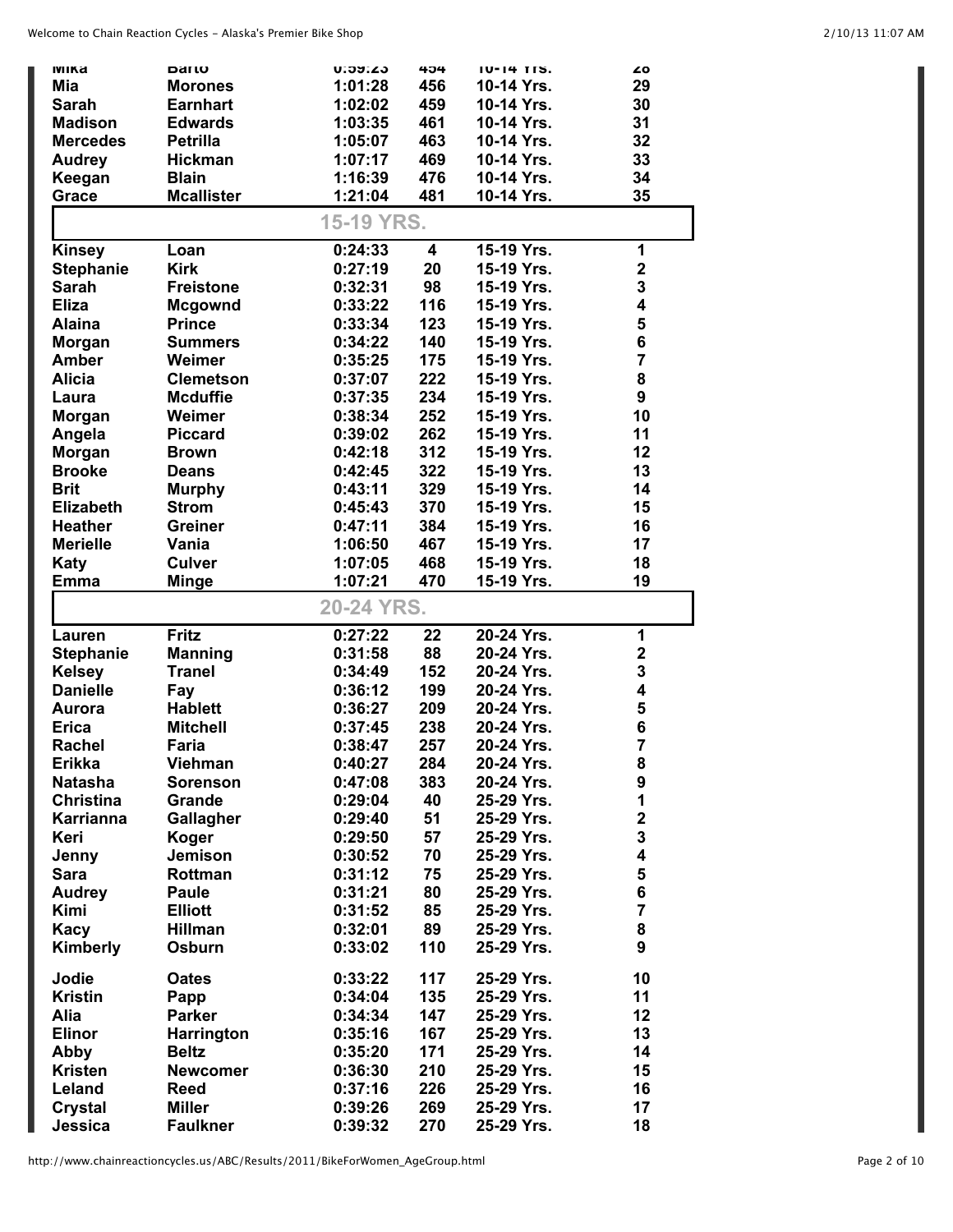| <b>IVIIKa</b>             | Darto                            | <b>U.39.43</b>     | 404                     | <b>TU-14 TTS.</b>        | ۷Ō                      |
|---------------------------|----------------------------------|--------------------|-------------------------|--------------------------|-------------------------|
| Mia                       | <b>Morones</b>                   | 1:01:28            | 456                     | 10-14 Yrs.               | 29                      |
| Sarah                     | <b>Earnhart</b>                  | 1:02:02            | 459                     | 10-14 Yrs.               | 30                      |
| <b>Madison</b>            | <b>Edwards</b>                   | 1:03:35            | 461                     | 10-14 Yrs.               | 31                      |
| <b>Mercedes</b>           | <b>Petrilla</b>                  | 1:05:07            | 463                     | 10-14 Yrs.               | 32                      |
| <b>Audrey</b>             | Hickman                          | 1:07:17            | 469                     | 10-14 Yrs.               | 33                      |
| Keegan                    | <b>Blain</b>                     | 1:16:39            | 476                     | 10-14 Yrs.               | 34                      |
| Grace                     | <b>Mcallister</b>                | 1:21:04            | 481                     | 10-14 Yrs.               | 35                      |
|                           |                                  |                    |                         |                          |                         |
|                           |                                  | 15-19 YRS.         |                         |                          |                         |
|                           |                                  |                    |                         |                          |                         |
| <b>Kinsey</b>             | Loan                             | 0:24:33            | $\overline{\mathbf{4}}$ | 15-19 Yrs.               | 1                       |
| <b>Stephanie</b>          | <b>Kirk</b>                      | 0:27:19            | 20                      | 15-19 Yrs.               | $\mathbf 2$             |
| <b>Sarah</b>              | <b>Freistone</b>                 | 0:32:31            | 98                      | 15-19 Yrs.               | 3                       |
| <b>Eliza</b>              | <b>Mcgownd</b>                   | 0:33:22            | 116                     | 15-19 Yrs.               | $\overline{\mathbf{4}}$ |
| <b>Alaina</b>             | <b>Prince</b>                    | 0:33:34            | 123                     | 15-19 Yrs.               | 5                       |
| <b>Morgan</b>             | <b>Summers</b>                   | 0:34:22            | 140                     | 15-19 Yrs.               | 6                       |
| <b>Amber</b>              | Weimer                           | 0:35:25            | 175                     | 15-19 Yrs.               | $\overline{7}$          |
| <b>Alicia</b>             | <b>Clemetson</b>                 | 0:37:07            | 222                     | 15-19 Yrs.               | 8                       |
| Laura                     | <b>Mcduffie</b>                  | 0:37:35            | 234                     | 15-19 Yrs.               | 9                       |
|                           | Weimer                           | 0:38:34            | 252                     | 15-19 Yrs.               | 10                      |
| <b>Morgan</b>             |                                  |                    |                         |                          |                         |
| Angela                    | <b>Piccard</b>                   | 0:39:02            | 262                     | 15-19 Yrs.               | 11                      |
| <b>Morgan</b>             | <b>Brown</b>                     | 0:42:18            | 312                     | 15-19 Yrs.               | 12                      |
| <b>Brooke</b>             | <b>Deans</b>                     | 0:42:45            | 322                     | 15-19 Yrs.               | 13                      |
| <b>Brit</b>               | <b>Murphy</b>                    | 0:43:11            | 329                     | 15-19 Yrs.               | 14                      |
| <b>Elizabeth</b>          | <b>Strom</b>                     | 0:45:43            | 370                     | 15-19 Yrs.               | 15                      |
| <b>Heather</b>            | <b>Greiner</b>                   | 0:47:11            | 384                     | 15-19 Yrs.               | 16                      |
| <b>Merielle</b>           | Vania                            | 1:06:50            | 467                     | 15-19 Yrs.               | 17                      |
| Katy                      | <b>Culver</b>                    | 1:07:05            | 468                     | 15-19 Yrs.               | 18                      |
| <b>Emma</b>               | <b>Minge</b>                     | 1:07:21            | 470                     | 15-19 Yrs.               | 19                      |
|                           |                                  |                    |                         |                          |                         |
|                           |                                  |                    |                         |                          |                         |
|                           |                                  | 20-24 YRS.         |                         |                          |                         |
|                           |                                  |                    |                         |                          |                         |
| Lauren                    | <b>Fritz</b>                     | 0:27:22            | 22                      | 20-24 Yrs.               | 1                       |
| <b>Stephanie</b>          | <b>Manning</b>                   | 0:31:58            | 88                      | 20-24 Yrs.               | $\mathbf 2$             |
| <b>Kelsey</b>             | <b>Tranel</b>                    | 0:34:49            | 152                     | 20-24 Yrs.               | 3                       |
| <b>Danielle</b>           | Fay                              | 0:36:12            | 199                     | 20-24 Yrs.               | $\overline{\mathbf{4}}$ |
| Aurora                    | <b>Hablett</b>                   | 0:36:27            | 209                     | 20-24 Yrs.               | 5                       |
| <b>Erica</b>              | <b>Mitchell</b>                  | 0:37:45            | 238                     | 20-24 Yrs.               | 6                       |
| <b>Rachel</b>             | Faria                            | 0:38:47            | 257                     | 20-24 Yrs.               | $\overline{7}$          |
| <b>Erikka</b>             | <b>Viehman</b>                   | 0:40:27            | 284                     | 20-24 Yrs.               | 8                       |
|                           |                                  |                    |                         |                          |                         |
| <b>Natasha</b>            | <b>Sorenson</b>                  | 0:47:08            | 383                     | 20-24 Yrs.               | $\boldsymbol{9}$        |
| <b>Christina</b>          | Grande                           | 0:29:04            | 40                      | 25-29 Yrs.               | 1                       |
| <b>Karrianna</b>          | Gallagher                        | 0:29:40            | 51                      | 25-29 Yrs.               | $\mathbf 2$             |
| Keri                      | Koger                            | 0:29:50            | 57                      | 25-29 Yrs.               | 3                       |
| Jenny                     | <b>Jemison</b>                   | 0:30:52            | 70                      | 25-29 Yrs.               | $\overline{\mathbf{4}}$ |
| <b>Sara</b>               | Rottman                          | 0:31:12            | 75                      | 25-29 Yrs.               | ${\bf 5}$               |
| <b>Audrey</b>             | <b>Paule</b>                     | 0:31:21            | 80                      | 25-29 Yrs.               | 6                       |
| <b>Kimi</b>               | <b>Elliott</b>                   | 0:31:52            | 85                      | 25-29 Yrs.               | $\overline{\mathbf{7}}$ |
| Kacy                      | <b>Hillman</b>                   | 0:32:01            | 89                      | 25-29 Yrs.               | 8                       |
| Kimberly                  | Osburn                           | 0:33:02            | 110                     | 25-29 Yrs.               | 9                       |
|                           |                                  |                    |                         |                          |                         |
| Jodie                     | <b>Oates</b>                     | 0:33:22            | 117                     | 25-29 Yrs.               | 10                      |
| <b>Kristin</b>            | Papp                             | 0:34:04            | 135                     | 25-29 Yrs.               | 11                      |
| Alia                      | <b>Parker</b>                    | 0:34:34            | 147                     | 25-29 Yrs.               | 12                      |
| <b>Elinor</b>             | <b>Harrington</b>                | 0:35:16            | 167                     | 25-29 Yrs.               | 13                      |
| Abby                      | <b>Beltz</b>                     | 0:35:20            | 171                     | 25-29 Yrs.               | 14                      |
| <b>Kristen</b>            | <b>Newcomer</b>                  |                    |                         | 25-29 Yrs.               |                         |
|                           |                                  | 0:36:30            | 210                     |                          | 15                      |
| Leland                    | <b>Reed</b>                      | 0:37:16            | 226                     | 25-29 Yrs.               | 16                      |
| <b>Crystal</b><br>Jessica | <b>Miller</b><br><b>Faulkner</b> | 0:39:26<br>0:39:32 | 269<br>270              | 25-29 Yrs.<br>25-29 Yrs. | 17<br>18                |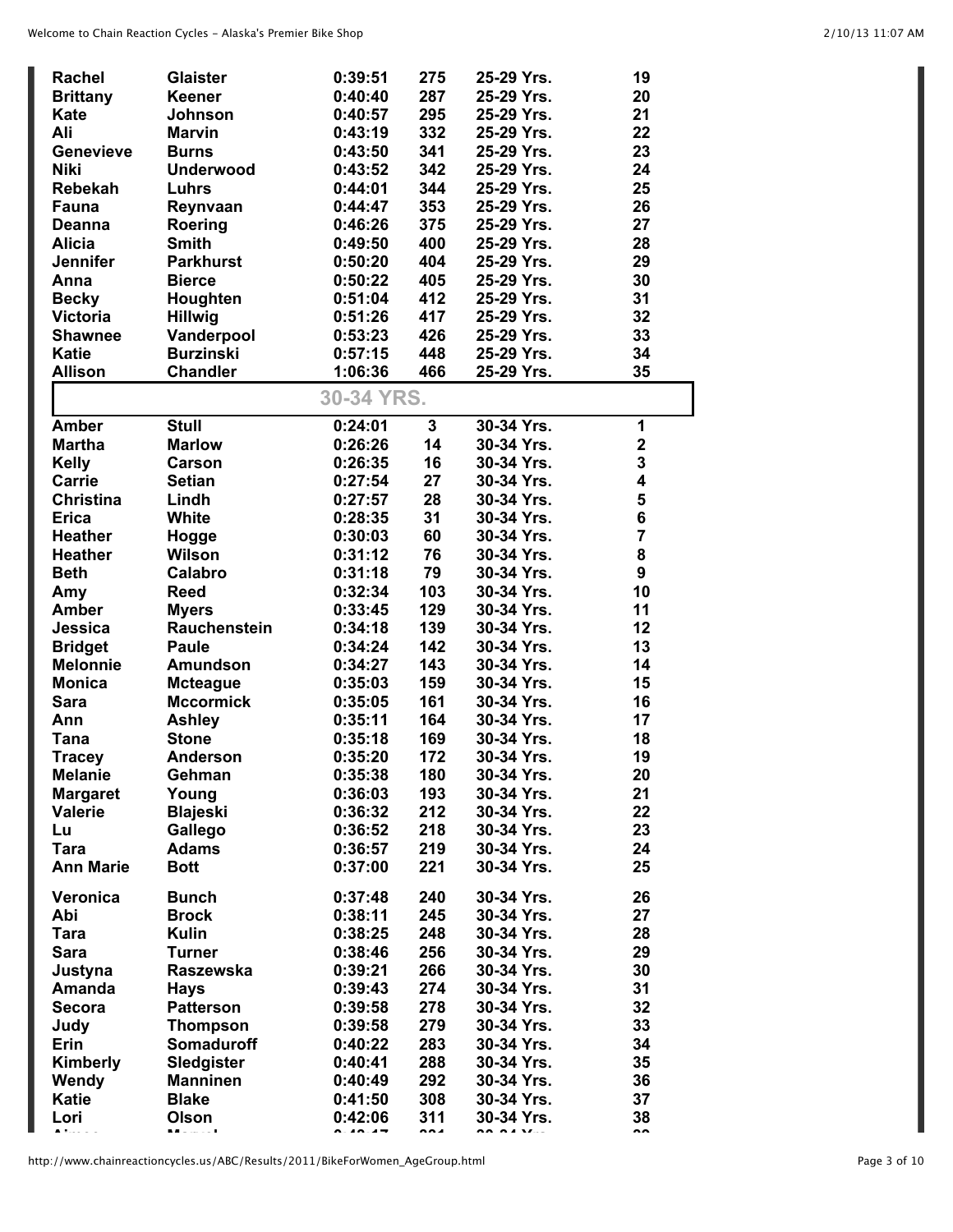| <b>Rachel</b>    | <b>Glaister</b>   | 0:39:51            | 275                     | 25-29 Yrs. | 19                      |
|------------------|-------------------|--------------------|-------------------------|------------|-------------------------|
| <b>Brittany</b>  | <b>Keener</b>     | 0:40:40            | 287                     | 25-29 Yrs. | 20                      |
| Kate             | Johnson           | 0:40:57            | 295                     | 25-29 Yrs. | 21                      |
| Ali              | <b>Marvin</b>     | 0:43:19            | 332                     | 25-29 Yrs. | 22                      |
| <b>Genevieve</b> | <b>Burns</b>      | 0:43:50            | 341                     | 25-29 Yrs. | 23                      |
| <b>Niki</b>      | <b>Underwood</b>  | 0:43:52            | 342                     | 25-29 Yrs. | 24                      |
| <b>Rebekah</b>   | Luhrs             | 0:44:01            | 344                     | 25-29 Yrs. | 25                      |
| Fauna            | Reynvaan          | 0:44:47            | 353                     | 25-29 Yrs. | 26                      |
| <b>Deanna</b>    | Roering           | 0:46:26            | 375                     | 25-29 Yrs. | 27                      |
| <b>Alicia</b>    | <b>Smith</b>      | 0:49:50            | 400                     | 25-29 Yrs. | 28                      |
| <b>Jennifer</b>  | <b>Parkhurst</b>  | 0:50:20            | 404                     | 25-29 Yrs. | 29                      |
| Anna             | <b>Bierce</b>     | 0:50:22            | 405                     | 25-29 Yrs. | 30                      |
| <b>Becky</b>     | Houghten          | 0:51:04            | 412                     | 25-29 Yrs. | 31                      |
| <b>Victoria</b>  | <b>Hillwig</b>    | 0:51:26            | 417                     | 25-29 Yrs. | 32                      |
| <b>Shawnee</b>   | Vanderpool        | 0:53:23            | 426                     | 25-29 Yrs. | 33                      |
| <b>Katie</b>     | <b>Burzinski</b>  | 0:57:15            | 448                     | 25-29 Yrs. | 34                      |
| <b>Allison</b>   | <b>Chandler</b>   | 1:06:36            | 466                     | 25-29 Yrs. | 35                      |
|                  |                   |                    |                         |            |                         |
|                  |                   | 30-34 YRS.         |                         |            |                         |
| <b>Amber</b>     | <b>Stull</b>      | 0:24:01            | $\overline{\mathbf{3}}$ | 30-34 Yrs. | 1                       |
| <b>Martha</b>    | <b>Marlow</b>     | 0:26:26            | 14                      | 30-34 Yrs. | $\overline{\mathbf{2}}$ |
| <b>Kelly</b>     | <b>Carson</b>     | 0:26:35            | 16                      | 30-34 Yrs. | 3                       |
| Carrie           | <b>Setian</b>     | 0:27:54            | 27                      | 30-34 Yrs. | 4                       |
| <b>Christina</b> | Lindh             | 0:27:57            | 28                      | 30-34 Yrs. | 5                       |
| <b>Erica</b>     | White             | 0:28:35            | 31                      | 30-34 Yrs. | 6                       |
| <b>Heather</b>   | Hogge             | 0:30:03            | 60                      | 30-34 Yrs. | $\overline{7}$          |
| <b>Heather</b>   | <b>Wilson</b>     | 0:31:12            | 76                      | 30-34 Yrs. | 8                       |
| <b>Beth</b>      | Calabro           | 0:31:18            | 79                      | 30-34 Yrs. | 9                       |
| Amy              | <b>Reed</b>       | 0:32:34            | 103                     | 30-34 Yrs. | 10                      |
| <b>Amber</b>     | <b>Myers</b>      | 0:33:45            | 129                     | 30-34 Yrs. | 11                      |
| Jessica          | Rauchenstein      | 0:34:18            | 139                     | 30-34 Yrs. | 12                      |
| <b>Bridget</b>   | Paule             | 0:34:24            | 142                     | 30-34 Yrs. | 13                      |
| <b>Melonnie</b>  | Amundson          | 0:34:27            | 143                     | 30-34 Yrs. | 14                      |
| <b>Monica</b>    | <b>Mcteague</b>   | 0:35:03            | 159                     | 30-34 Yrs. | 15                      |
| <b>Sara</b>      | <b>Mccormick</b>  | 0:35:05            | 161                     | 30-34 Yrs. | 16                      |
| Ann              | Ashley            | 0:35:11            | 164                     | 30-34 Yrs. | 17                      |
| <b>Tana</b>      | <b>Stone</b>      | 0:35:18            | 169                     | 30-34 Yrs. | 18                      |
| Tracey           | Anderson          | 0:35:20            | 172                     | 30-34 Yrs  | 19                      |
| <b>Melanie</b>   | Gehman            | 0:35:38            | 180                     | 30-34 Yrs. | 20                      |
| <b>Margaret</b>  | Young             | 0:36:03            | 193                     | 30-34 Yrs. | 21                      |
| <b>Valerie</b>   | <b>Blajeski</b>   | 0:36:32            | 212                     | 30-34 Yrs. | 22                      |
| Lu               | Gallego           | 0:36:52            | 218                     | 30-34 Yrs. | 23                      |
| <b>Tara</b>      | <b>Adams</b>      | 0:36:57            | 219                     | 30-34 Yrs. | 24                      |
| <b>Ann Marie</b> | <b>Bott</b>       | 0:37:00            | 221                     | 30-34 Yrs. | 25                      |
| Veronica         | <b>Bunch</b>      | 0:37:48            | 240                     | 30-34 Yrs. | 26                      |
| Abi              | <b>Brock</b>      | 0:38:11            | 245                     | 30-34 Yrs. | 27                      |
|                  | <b>Kulin</b>      |                    |                         | 30-34 Yrs. |                         |
| Tara             |                   | 0:38:25<br>0:38:46 | 248<br>256              |            | 28<br>29                |
| <b>Sara</b>      | <b>Turner</b>     |                    |                         | 30-34 Yrs. |                         |
| Justyna          | <b>Raszewska</b>  | 0:39:21            | 266                     | 30-34 Yrs. | 30                      |
| Amanda           | <b>Hays</b>       | 0:39:43            | 274                     | 30-34 Yrs. | 31                      |
| <b>Secora</b>    | <b>Patterson</b>  | 0:39:58            | 278                     | 30-34 Yrs. | 32                      |
| Judy             | <b>Thompson</b>   | 0:39:58            | 279                     | 30-34 Yrs. | 33                      |
| Erin             | <b>Somaduroff</b> | 0:40:22            | 283                     | 30-34 Yrs. | 34                      |
| Kimberly         | Sledgister        | 0:40:41            | 288                     | 30-34 Yrs. | 35                      |
| Wendy            | <b>Manninen</b>   | 0:40:49            | 292                     | 30-34 Yrs. | 36                      |
| <b>Katie</b>     | <b>Blake</b>      | 0:41:50            | 308                     | 30-34 Yrs. | 37                      |
| Lori             | Olson             | 0:42:06            | 311                     | 30-34 Yrs. | 38                      |

**Aimee Marvel 0:43:17 331 30-34 Yrs. 39**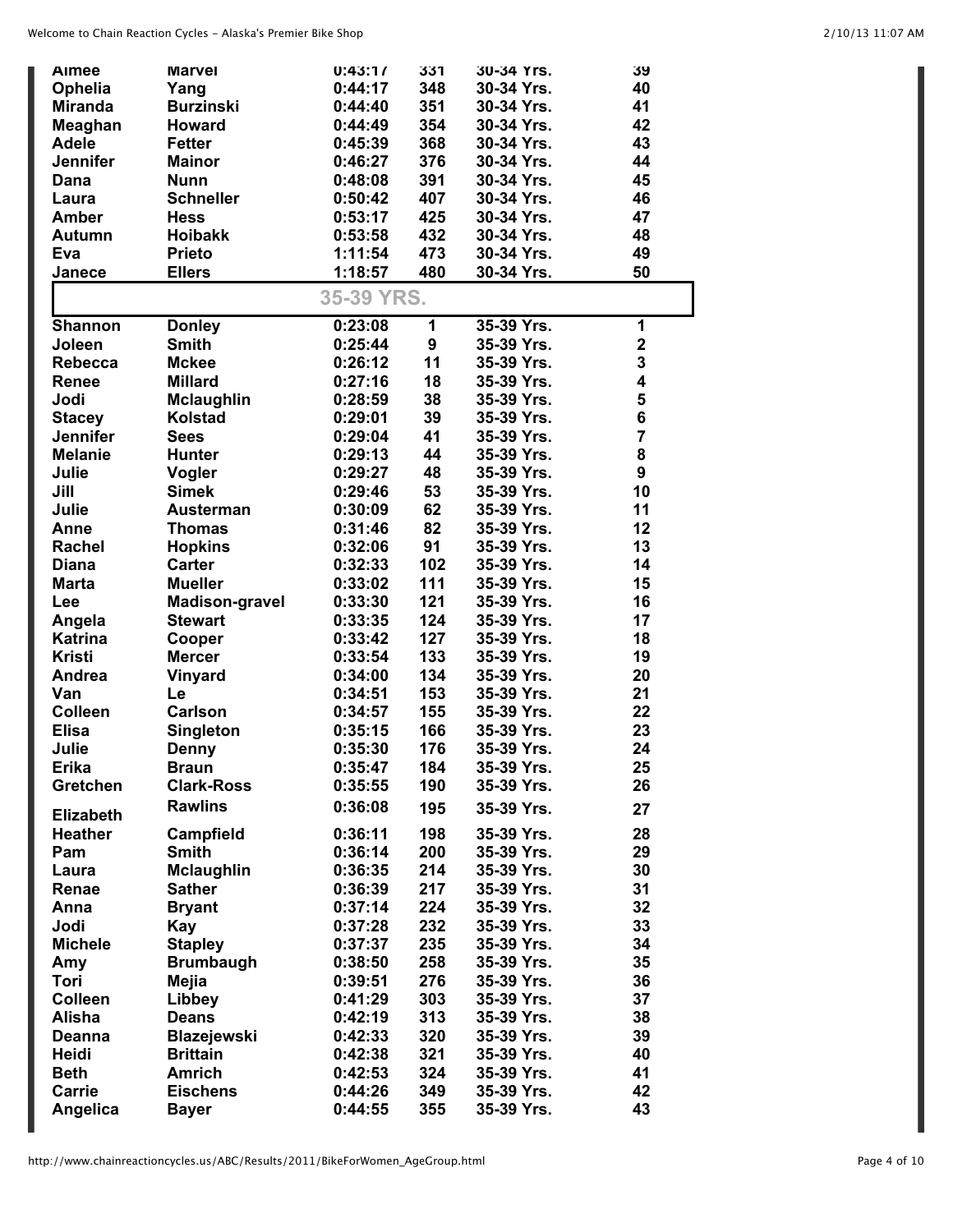| Aimee            | <b>Marvel</b>         | 0:43:17    | 331        | 30-34 Yrs. | 39             |
|------------------|-----------------------|------------|------------|------------|----------------|
| Ophelia          | Yang                  | 0:44:17    | 348        | 30-34 Yrs. | 40             |
| <b>Miranda</b>   | <b>Burzinski</b>      | 0:44:40    | 351        | 30-34 Yrs. | 41             |
| Meaghan          | <b>Howard</b>         | 0:44:49    | 354        | 30-34 Yrs. | 42             |
| <b>Adele</b>     | <b>Fetter</b>         | 0:45:39    | 368        | 30-34 Yrs. | 43             |
| <b>Jennifer</b>  | <b>Mainor</b>         | 0:46:27    | 376        | 30-34 Yrs. | 44             |
| Dana             | <b>Nunn</b>           | 0:48:08    | 391        | 30-34 Yrs. | 45             |
| Laura            | <b>Schneller</b>      | 0:50:42    | 407        | 30-34 Yrs. | 46             |
| <b>Amber</b>     | <b>Hess</b>           | 0:53:17    | 425        | 30-34 Yrs. | 47             |
| <b>Autumn</b>    | <b>Hoibakk</b>        | 0:53:58    | 432        | 30-34 Yrs. | 48             |
| Eva              | <b>Prieto</b>         | 1:11:54    | 473        | 30-34 Yrs. | 49             |
| Janece           | <b>Ellers</b>         | 1:18:57    | 480        | 30-34 Yrs. | 50             |
|                  |                       |            |            |            |                |
|                  |                       | 35-39 YRS. |            |            |                |
| <b>Shannon</b>   | <b>Donley</b>         | 0:23:08    | 1          | 35-39 Yrs. | 1              |
| Joleen           | <b>Smith</b>          | 0:25:44    | 9          | 35-39 Yrs. | $\mathbf{2}$   |
| Rebecca          | <b>Mckee</b>          | 0:26:12    | 11         | 35-39 Yrs. | 3              |
| <b>Renee</b>     | <b>Millard</b>        | 0:27:16    | 18         | 35-39 Yrs. | 4              |
| Jodi             | <b>Mclaughlin</b>     | 0:28:59    | 38         | 35-39 Yrs. | 5              |
| <b>Stacey</b>    | Kolstad               | 0:29:01    | 39         | 35-39 Yrs. | 6              |
| <b>Jennifer</b>  | <b>Sees</b>           | 0:29:04    | 41         | 35-39 Yrs. | $\overline{7}$ |
| <b>Melanie</b>   | <b>Hunter</b>         | 0:29:13    | 44         | 35-39 Yrs. | 8              |
| Julie            | Vogler                | 0:29:27    | 48         | 35-39 Yrs. | 9              |
| Jill             | <b>Simek</b>          | 0:29:46    | 53         | 35-39 Yrs. | 10             |
| Julie            | <b>Austerman</b>      | 0:30:09    | 62         | 35-39 Yrs. | 11             |
| Anne             | <b>Thomas</b>         | 0:31:46    | 82         | 35-39 Yrs. | 12             |
| Rachel           | <b>Hopkins</b>        | 0:32:06    | 91         | 35-39 Yrs. | 13             |
| <b>Diana</b>     | <b>Carter</b>         | 0:32:33    | 102        | 35-39 Yrs. | 14             |
| Marta            | <b>Mueller</b>        | 0:33:02    | 111        | 35-39 Yrs. | 15             |
|                  |                       | 0:33:30    | 121        | 35-39 Yrs. | 16             |
| Lee              | <b>Madison-gravel</b> |            |            |            |                |
| Angela           | <b>Stewart</b>        | 0:33:35    | 124<br>127 | 35-39 Yrs. | 17             |
| <b>Katrina</b>   | Cooper                | 0:33:42    |            | 35-39 Yrs. | 18             |
| <b>Kristi</b>    | <b>Mercer</b>         | 0:33:54    | 133        | 35-39 Yrs. | 19             |
| Andrea           | Vinyard               | 0:34:00    | 134        | 35-39 Yrs. | 20             |
| Van              | Le                    | 0:34:51    | 153        | 35-39 Yrs. | 21             |
| <b>Colleen</b>   | <b>Carlson</b>        | 0:34:57    | 155        | 35-39 Yrs. | 22             |
| <b>Elisa</b>     | <b>Singleton</b>      | 0:35:15    | 166        | 35-39 Yrs. | 23             |
| Julie            | Denny                 | 0:35:30    | 176        | 35-39 Yrs. | 24             |
| <b>Erika</b>     | <b>Braun</b>          | 0:35:47    | 184        | 35-39 Yrs. | 25             |
| Gretchen         | <b>Clark-Ross</b>     | 0:35:55    | 190        | 35-39 Yrs. | 26             |
| <b>Elizabeth</b> | <b>Rawlins</b>        | 0:36:08    | 195        | 35-39 Yrs. | 27             |
| <b>Heather</b>   | Campfield             | 0:36:11    | 198        | 35-39 Yrs. | 28             |
| Pam              | <b>Smith</b>          | 0:36:14    | 200        | 35-39 Yrs. | 29             |
| Laura            | <b>Mclaughlin</b>     | 0:36:35    | 214        | 35-39 Yrs. | 30             |
| Renae            | <b>Sather</b>         | 0:36:39    | 217        | 35-39 Yrs. | 31             |
|                  |                       | 0:37:14    | 224        | 35-39 Yrs. | 32             |
| Anna             | <b>Bryant</b>         |            |            |            |                |
| Jodi             | Kay                   | 0:37:28    | 232        | 35-39 Yrs. | 33             |
| <b>Michele</b>   | <b>Stapley</b>        | 0:37:37    | 235        | 35-39 Yrs. | 34             |
| Amy              | <b>Brumbaugh</b>      | 0:38:50    | 258        | 35-39 Yrs. | 35             |
| Tori             | Mejia                 | 0:39:51    | 276        | 35-39 Yrs. | 36             |
| <b>Colleen</b>   | Libbey                | 0:41:29    | 303        | 35-39 Yrs. | 37             |
| Alisha           | <b>Deans</b>          | 0:42:19    | 313        | 35-39 Yrs. | 38             |
| <b>Deanna</b>    | <b>Blazejewski</b>    | 0:42:33    | 320        | 35-39 Yrs. | 39             |
| Heidi            | <b>Brittain</b>       | 0:42:38    | 321        | 35-39 Yrs. | 40             |
| <b>Beth</b>      | <b>Amrich</b>         | 0:42:53    | 324        | 35-39 Yrs. | 41             |
| Carrie           | <b>Eischens</b>       | 0:44:26    | 349        | 35-39 Yrs. | 42             |
| Angelica         | <b>Bayer</b>          | 0:44:55    | 355        | 35-39 Yrs. | 43             |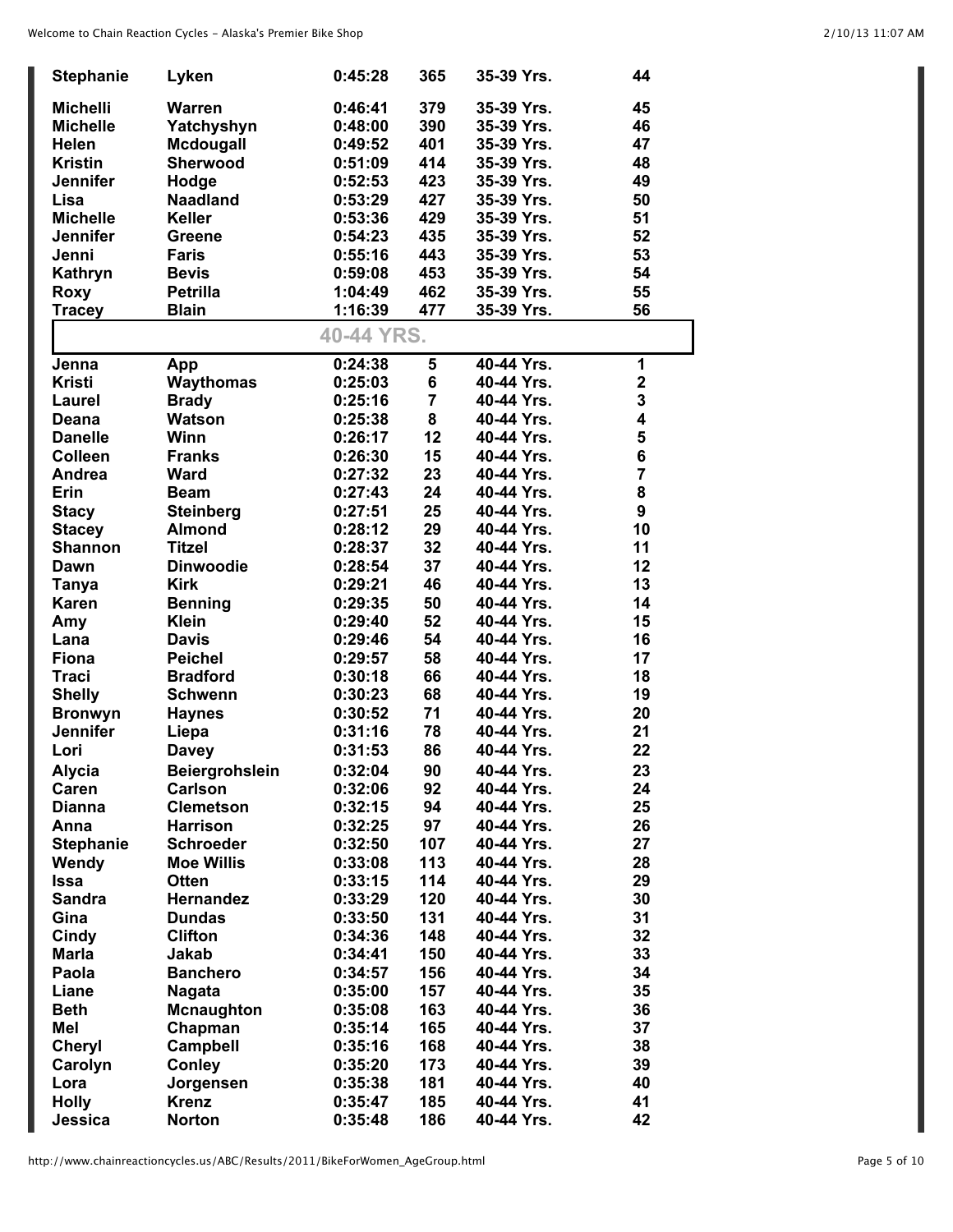| 379<br><b>Michelli</b><br><b>Warren</b><br>0:46:41<br>35-39 Yrs.<br>45<br>390<br>46<br><b>Michelle</b><br>Yatchyshyn<br>0:48:00<br>35-39 Yrs.<br>401<br>35-39 Yrs.<br>47<br><b>Helen</b><br>Mcdougall<br>0:49:52<br>Sherwood<br>414<br>48<br><b>Kristin</b><br>0:51:09<br>35-39 Yrs.<br>423<br>35-39 Yrs.<br><b>Jennifer</b><br>0:52:53<br>49<br>Hodge<br><b>Naadland</b><br>427<br>50<br>Lisa<br>0:53:29<br>35-39 Yrs.<br>429<br><b>Michelle</b><br>35-39 Yrs.<br>51<br><b>Keller</b><br>0:53:36<br>435<br>35-39 Yrs.<br>52<br><b>Jennifer</b><br>0:54:23<br>Greene<br>443<br>35-39 Yrs.<br>53<br>0:55:16<br>Jenni<br>Faris<br>453<br>0:59:08<br>35-39 Yrs.<br>54<br>Kathryn<br><b>Bevis</b><br>462<br>35-39 Yrs.<br>55<br><b>Petrilla</b><br>1:04:49<br><b>Roxy</b><br>1:16:39<br>477<br><b>Blain</b><br>35-39 Yrs.<br>56<br><b>Tracey</b><br>40-44 YRS.<br>0:24:38<br>5<br>40-44 Yrs.<br>1<br>Jenna<br>App<br>6<br>$\mathbf 2$<br><b>Kristi</b><br>Waythomas<br>0:25:03<br>40-44 Yrs.<br>$\overline{7}$<br>3<br>40-44 Yrs.<br><b>Brady</b><br>0:25:16<br>Laurel<br>8<br>4<br>Watson<br>0:25:38<br>40-44 Yrs.<br>Deana<br>5<br>Winn<br>12<br><b>Danelle</b><br>0:26:17<br>40-44 Yrs.<br>6<br>15<br><b>Colleen</b><br><b>Franks</b><br>0:26:30<br>40-44 Yrs.<br>7<br>23<br>40-44 Yrs.<br>Andrea<br>Ward<br>0:27:32<br>8<br>24<br>Erin<br>0:27:43<br>40-44 Yrs.<br><b>Beam</b><br>25<br>9<br><b>Steinberg</b><br>0:27:51<br>40-44 Yrs.<br><b>Stacy</b><br>10<br>29<br><b>Almond</b><br>0:28:12<br>40-44 Yrs.<br><b>Stacey</b><br>32<br>40-44 Yrs.<br>11<br><b>Shannon</b><br>Titzel<br>0:28:37<br><b>Dinwoodie</b><br>37<br>40-44 Yrs.<br>12<br>0:28:54<br>Dawn<br>46<br>40-44 Yrs.<br>13<br><b>Kirk</b><br>0:29:21<br><b>Tanya</b><br>50<br>40-44 Yrs.<br>14<br><b>Karen</b><br>0:29:35<br><b>Benning</b><br><b>Klein</b><br>0:29:40<br>52<br>40-44 Yrs.<br>15<br>Amy<br>54<br>16<br><b>Davis</b><br>0:29:46<br>40-44 Yrs.<br>Lana<br>58<br>40-44 Yrs.<br>17<br><b>Fiona</b><br><b>Peichel</b><br>0:29:57<br>66<br>18<br><b>Traci</b><br><b>Bradford</b><br>0:30:18<br>40-44 Yrs.<br>68<br>19<br><b>Shelly</b><br><b>Schwenn</b><br>0:30:23<br>40-44 Yrs.<br>71<br>20<br><b>Bronwyn</b><br>0:30:52<br>40-44 Yrs.<br><b>Haynes</b><br><b>Jennifer</b><br>0:31:16<br>78<br>40-44 Yrs.<br>21<br>Liepa<br>0:31:53<br>86<br>22<br>40-44 Yrs.<br>Lori<br><b>Davey</b><br><b>Alycia</b><br><b>Beiergrohslein</b><br>0:32:04<br>90<br>40-44 Yrs.<br>23<br>Caren<br>92<br><b>Carlson</b><br>0:32:06<br>40-44 Yrs.<br>24<br>94<br>25<br><b>Dianna</b><br><b>Clemetson</b><br>0:32:15<br>40-44 Yrs.<br>97<br>26<br><b>Harrison</b><br>0:32:25<br>40-44 Yrs.<br>Anna<br>107<br>27<br><b>Stephanie</b><br><b>Schroeder</b><br>0:32:50<br>40-44 Yrs.<br><b>Moe Willis</b><br>113<br>28<br>0:33:08<br>40-44 Yrs.<br>Wendy<br>114<br>29<br><b>Otten</b><br>0:33:15<br>40-44 Yrs.<br><b>Issa</b><br>120<br>30<br><b>Sandra</b><br><b>Hernandez</b><br>0:33:29<br>40-44 Yrs.<br>131<br>31<br>Gina<br><b>Dundas</b><br>0:33:50<br>40-44 Yrs.<br>148<br>32<br>Cindy<br><b>Clifton</b><br>0:34:36<br>40-44 Yrs.<br>150<br>33<br><b>Marla</b><br>Jakab<br>0:34:41<br>40-44 Yrs.<br>156<br>40-44 Yrs.<br>34<br>Paola<br><b>Banchero</b><br>0:34:57<br>157<br>40-44 Yrs.<br>35<br>0:35:00<br>Liane<br><b>Nagata</b><br>163<br>36<br>0:35:08<br>40-44 Yrs.<br><b>Beth</b><br><b>Mcnaughton</b><br>165<br>40-44 Yrs.<br>37<br>Mel<br>Chapman<br>0:35:14<br>168<br>0:35:16<br>40-44 Yrs.<br>38<br><b>Cheryl</b><br><b>Campbell</b><br>0:35:20<br>173<br>40-44 Yrs.<br>39<br>Carolyn<br><b>Conley</b><br>181<br>40<br>Jorgensen<br>0:35:38<br>40-44 Yrs.<br>Lora<br><b>Krenz</b><br>185<br>40-44 Yrs.<br>41<br><b>Holly</b><br>0:35:47<br>42<br>Jessica<br><b>Norton</b><br>0:35:48<br>186<br>40-44 Yrs. | <b>Stephanie</b> | Lyken | 0:45:28 | 365 | 35-39 Yrs. | 44 |
|-------------------------------------------------------------------------------------------------------------------------------------------------------------------------------------------------------------------------------------------------------------------------------------------------------------------------------------------------------------------------------------------------------------------------------------------------------------------------------------------------------------------------------------------------------------------------------------------------------------------------------------------------------------------------------------------------------------------------------------------------------------------------------------------------------------------------------------------------------------------------------------------------------------------------------------------------------------------------------------------------------------------------------------------------------------------------------------------------------------------------------------------------------------------------------------------------------------------------------------------------------------------------------------------------------------------------------------------------------------------------------------------------------------------------------------------------------------------------------------------------------------------------------------------------------------------------------------------------------------------------------------------------------------------------------------------------------------------------------------------------------------------------------------------------------------------------------------------------------------------------------------------------------------------------------------------------------------------------------------------------------------------------------------------------------------------------------------------------------------------------------------------------------------------------------------------------------------------------------------------------------------------------------------------------------------------------------------------------------------------------------------------------------------------------------------------------------------------------------------------------------------------------------------------------------------------------------------------------------------------------------------------------------------------------------------------------------------------------------------------------------------------------------------------------------------------------------------------------------------------------------------------------------------------------------------------------------------------------------------------------------------------------------------------------------------------------------------------------------------------------------------------------------------------------------------------------------------------------------------------------------------------------------------------------------------------------------------------------------------------------------------------------------------------------------------------------------------------------------------------------------------------------------------------------------------------------------------------------------------------------------------------------------------------------------------------------------------------------------------------------------------------------------|------------------|-------|---------|-----|------------|----|
|                                                                                                                                                                                                                                                                                                                                                                                                                                                                                                                                                                                                                                                                                                                                                                                                                                                                                                                                                                                                                                                                                                                                                                                                                                                                                                                                                                                                                                                                                                                                                                                                                                                                                                                                                                                                                                                                                                                                                                                                                                                                                                                                                                                                                                                                                                                                                                                                                                                                                                                                                                                                                                                                                                                                                                                                                                                                                                                                                                                                                                                                                                                                                                                                                                                                                                                                                                                                                                                                                                                                                                                                                                                                                                                                                                               |                  |       |         |     |            |    |
|                                                                                                                                                                                                                                                                                                                                                                                                                                                                                                                                                                                                                                                                                                                                                                                                                                                                                                                                                                                                                                                                                                                                                                                                                                                                                                                                                                                                                                                                                                                                                                                                                                                                                                                                                                                                                                                                                                                                                                                                                                                                                                                                                                                                                                                                                                                                                                                                                                                                                                                                                                                                                                                                                                                                                                                                                                                                                                                                                                                                                                                                                                                                                                                                                                                                                                                                                                                                                                                                                                                                                                                                                                                                                                                                                                               |                  |       |         |     |            |    |
|                                                                                                                                                                                                                                                                                                                                                                                                                                                                                                                                                                                                                                                                                                                                                                                                                                                                                                                                                                                                                                                                                                                                                                                                                                                                                                                                                                                                                                                                                                                                                                                                                                                                                                                                                                                                                                                                                                                                                                                                                                                                                                                                                                                                                                                                                                                                                                                                                                                                                                                                                                                                                                                                                                                                                                                                                                                                                                                                                                                                                                                                                                                                                                                                                                                                                                                                                                                                                                                                                                                                                                                                                                                                                                                                                                               |                  |       |         |     |            |    |
|                                                                                                                                                                                                                                                                                                                                                                                                                                                                                                                                                                                                                                                                                                                                                                                                                                                                                                                                                                                                                                                                                                                                                                                                                                                                                                                                                                                                                                                                                                                                                                                                                                                                                                                                                                                                                                                                                                                                                                                                                                                                                                                                                                                                                                                                                                                                                                                                                                                                                                                                                                                                                                                                                                                                                                                                                                                                                                                                                                                                                                                                                                                                                                                                                                                                                                                                                                                                                                                                                                                                                                                                                                                                                                                                                                               |                  |       |         |     |            |    |
|                                                                                                                                                                                                                                                                                                                                                                                                                                                                                                                                                                                                                                                                                                                                                                                                                                                                                                                                                                                                                                                                                                                                                                                                                                                                                                                                                                                                                                                                                                                                                                                                                                                                                                                                                                                                                                                                                                                                                                                                                                                                                                                                                                                                                                                                                                                                                                                                                                                                                                                                                                                                                                                                                                                                                                                                                                                                                                                                                                                                                                                                                                                                                                                                                                                                                                                                                                                                                                                                                                                                                                                                                                                                                                                                                                               |                  |       |         |     |            |    |
|                                                                                                                                                                                                                                                                                                                                                                                                                                                                                                                                                                                                                                                                                                                                                                                                                                                                                                                                                                                                                                                                                                                                                                                                                                                                                                                                                                                                                                                                                                                                                                                                                                                                                                                                                                                                                                                                                                                                                                                                                                                                                                                                                                                                                                                                                                                                                                                                                                                                                                                                                                                                                                                                                                                                                                                                                                                                                                                                                                                                                                                                                                                                                                                                                                                                                                                                                                                                                                                                                                                                                                                                                                                                                                                                                                               |                  |       |         |     |            |    |
|                                                                                                                                                                                                                                                                                                                                                                                                                                                                                                                                                                                                                                                                                                                                                                                                                                                                                                                                                                                                                                                                                                                                                                                                                                                                                                                                                                                                                                                                                                                                                                                                                                                                                                                                                                                                                                                                                                                                                                                                                                                                                                                                                                                                                                                                                                                                                                                                                                                                                                                                                                                                                                                                                                                                                                                                                                                                                                                                                                                                                                                                                                                                                                                                                                                                                                                                                                                                                                                                                                                                                                                                                                                                                                                                                                               |                  |       |         |     |            |    |
|                                                                                                                                                                                                                                                                                                                                                                                                                                                                                                                                                                                                                                                                                                                                                                                                                                                                                                                                                                                                                                                                                                                                                                                                                                                                                                                                                                                                                                                                                                                                                                                                                                                                                                                                                                                                                                                                                                                                                                                                                                                                                                                                                                                                                                                                                                                                                                                                                                                                                                                                                                                                                                                                                                                                                                                                                                                                                                                                                                                                                                                                                                                                                                                                                                                                                                                                                                                                                                                                                                                                                                                                                                                                                                                                                                               |                  |       |         |     |            |    |
|                                                                                                                                                                                                                                                                                                                                                                                                                                                                                                                                                                                                                                                                                                                                                                                                                                                                                                                                                                                                                                                                                                                                                                                                                                                                                                                                                                                                                                                                                                                                                                                                                                                                                                                                                                                                                                                                                                                                                                                                                                                                                                                                                                                                                                                                                                                                                                                                                                                                                                                                                                                                                                                                                                                                                                                                                                                                                                                                                                                                                                                                                                                                                                                                                                                                                                                                                                                                                                                                                                                                                                                                                                                                                                                                                                               |                  |       |         |     |            |    |
|                                                                                                                                                                                                                                                                                                                                                                                                                                                                                                                                                                                                                                                                                                                                                                                                                                                                                                                                                                                                                                                                                                                                                                                                                                                                                                                                                                                                                                                                                                                                                                                                                                                                                                                                                                                                                                                                                                                                                                                                                                                                                                                                                                                                                                                                                                                                                                                                                                                                                                                                                                                                                                                                                                                                                                                                                                                                                                                                                                                                                                                                                                                                                                                                                                                                                                                                                                                                                                                                                                                                                                                                                                                                                                                                                                               |                  |       |         |     |            |    |
|                                                                                                                                                                                                                                                                                                                                                                                                                                                                                                                                                                                                                                                                                                                                                                                                                                                                                                                                                                                                                                                                                                                                                                                                                                                                                                                                                                                                                                                                                                                                                                                                                                                                                                                                                                                                                                                                                                                                                                                                                                                                                                                                                                                                                                                                                                                                                                                                                                                                                                                                                                                                                                                                                                                                                                                                                                                                                                                                                                                                                                                                                                                                                                                                                                                                                                                                                                                                                                                                                                                                                                                                                                                                                                                                                                               |                  |       |         |     |            |    |
|                                                                                                                                                                                                                                                                                                                                                                                                                                                                                                                                                                                                                                                                                                                                                                                                                                                                                                                                                                                                                                                                                                                                                                                                                                                                                                                                                                                                                                                                                                                                                                                                                                                                                                                                                                                                                                                                                                                                                                                                                                                                                                                                                                                                                                                                                                                                                                                                                                                                                                                                                                                                                                                                                                                                                                                                                                                                                                                                                                                                                                                                                                                                                                                                                                                                                                                                                                                                                                                                                                                                                                                                                                                                                                                                                                               |                  |       |         |     |            |    |
|                                                                                                                                                                                                                                                                                                                                                                                                                                                                                                                                                                                                                                                                                                                                                                                                                                                                                                                                                                                                                                                                                                                                                                                                                                                                                                                                                                                                                                                                                                                                                                                                                                                                                                                                                                                                                                                                                                                                                                                                                                                                                                                                                                                                                                                                                                                                                                                                                                                                                                                                                                                                                                                                                                                                                                                                                                                                                                                                                                                                                                                                                                                                                                                                                                                                                                                                                                                                                                                                                                                                                                                                                                                                                                                                                                               |                  |       |         |     |            |    |
|                                                                                                                                                                                                                                                                                                                                                                                                                                                                                                                                                                                                                                                                                                                                                                                                                                                                                                                                                                                                                                                                                                                                                                                                                                                                                                                                                                                                                                                                                                                                                                                                                                                                                                                                                                                                                                                                                                                                                                                                                                                                                                                                                                                                                                                                                                                                                                                                                                                                                                                                                                                                                                                                                                                                                                                                                                                                                                                                                                                                                                                                                                                                                                                                                                                                                                                                                                                                                                                                                                                                                                                                                                                                                                                                                                               |                  |       |         |     |            |    |
|                                                                                                                                                                                                                                                                                                                                                                                                                                                                                                                                                                                                                                                                                                                                                                                                                                                                                                                                                                                                                                                                                                                                                                                                                                                                                                                                                                                                                                                                                                                                                                                                                                                                                                                                                                                                                                                                                                                                                                                                                                                                                                                                                                                                                                                                                                                                                                                                                                                                                                                                                                                                                                                                                                                                                                                                                                                                                                                                                                                                                                                                                                                                                                                                                                                                                                                                                                                                                                                                                                                                                                                                                                                                                                                                                                               |                  |       |         |     |            |    |
|                                                                                                                                                                                                                                                                                                                                                                                                                                                                                                                                                                                                                                                                                                                                                                                                                                                                                                                                                                                                                                                                                                                                                                                                                                                                                                                                                                                                                                                                                                                                                                                                                                                                                                                                                                                                                                                                                                                                                                                                                                                                                                                                                                                                                                                                                                                                                                                                                                                                                                                                                                                                                                                                                                                                                                                                                                                                                                                                                                                                                                                                                                                                                                                                                                                                                                                                                                                                                                                                                                                                                                                                                                                                                                                                                                               |                  |       |         |     |            |    |
|                                                                                                                                                                                                                                                                                                                                                                                                                                                                                                                                                                                                                                                                                                                                                                                                                                                                                                                                                                                                                                                                                                                                                                                                                                                                                                                                                                                                                                                                                                                                                                                                                                                                                                                                                                                                                                                                                                                                                                                                                                                                                                                                                                                                                                                                                                                                                                                                                                                                                                                                                                                                                                                                                                                                                                                                                                                                                                                                                                                                                                                                                                                                                                                                                                                                                                                                                                                                                                                                                                                                                                                                                                                                                                                                                                               |                  |       |         |     |            |    |
|                                                                                                                                                                                                                                                                                                                                                                                                                                                                                                                                                                                                                                                                                                                                                                                                                                                                                                                                                                                                                                                                                                                                                                                                                                                                                                                                                                                                                                                                                                                                                                                                                                                                                                                                                                                                                                                                                                                                                                                                                                                                                                                                                                                                                                                                                                                                                                                                                                                                                                                                                                                                                                                                                                                                                                                                                                                                                                                                                                                                                                                                                                                                                                                                                                                                                                                                                                                                                                                                                                                                                                                                                                                                                                                                                                               |                  |       |         |     |            |    |
|                                                                                                                                                                                                                                                                                                                                                                                                                                                                                                                                                                                                                                                                                                                                                                                                                                                                                                                                                                                                                                                                                                                                                                                                                                                                                                                                                                                                                                                                                                                                                                                                                                                                                                                                                                                                                                                                                                                                                                                                                                                                                                                                                                                                                                                                                                                                                                                                                                                                                                                                                                                                                                                                                                                                                                                                                                                                                                                                                                                                                                                                                                                                                                                                                                                                                                                                                                                                                                                                                                                                                                                                                                                                                                                                                                               |                  |       |         |     |            |    |
|                                                                                                                                                                                                                                                                                                                                                                                                                                                                                                                                                                                                                                                                                                                                                                                                                                                                                                                                                                                                                                                                                                                                                                                                                                                                                                                                                                                                                                                                                                                                                                                                                                                                                                                                                                                                                                                                                                                                                                                                                                                                                                                                                                                                                                                                                                                                                                                                                                                                                                                                                                                                                                                                                                                                                                                                                                                                                                                                                                                                                                                                                                                                                                                                                                                                                                                                                                                                                                                                                                                                                                                                                                                                                                                                                                               |                  |       |         |     |            |    |
|                                                                                                                                                                                                                                                                                                                                                                                                                                                                                                                                                                                                                                                                                                                                                                                                                                                                                                                                                                                                                                                                                                                                                                                                                                                                                                                                                                                                                                                                                                                                                                                                                                                                                                                                                                                                                                                                                                                                                                                                                                                                                                                                                                                                                                                                                                                                                                                                                                                                                                                                                                                                                                                                                                                                                                                                                                                                                                                                                                                                                                                                                                                                                                                                                                                                                                                                                                                                                                                                                                                                                                                                                                                                                                                                                                               |                  |       |         |     |            |    |
|                                                                                                                                                                                                                                                                                                                                                                                                                                                                                                                                                                                                                                                                                                                                                                                                                                                                                                                                                                                                                                                                                                                                                                                                                                                                                                                                                                                                                                                                                                                                                                                                                                                                                                                                                                                                                                                                                                                                                                                                                                                                                                                                                                                                                                                                                                                                                                                                                                                                                                                                                                                                                                                                                                                                                                                                                                                                                                                                                                                                                                                                                                                                                                                                                                                                                                                                                                                                                                                                                                                                                                                                                                                                                                                                                                               |                  |       |         |     |            |    |
|                                                                                                                                                                                                                                                                                                                                                                                                                                                                                                                                                                                                                                                                                                                                                                                                                                                                                                                                                                                                                                                                                                                                                                                                                                                                                                                                                                                                                                                                                                                                                                                                                                                                                                                                                                                                                                                                                                                                                                                                                                                                                                                                                                                                                                                                                                                                                                                                                                                                                                                                                                                                                                                                                                                                                                                                                                                                                                                                                                                                                                                                                                                                                                                                                                                                                                                                                                                                                                                                                                                                                                                                                                                                                                                                                                               |                  |       |         |     |            |    |
|                                                                                                                                                                                                                                                                                                                                                                                                                                                                                                                                                                                                                                                                                                                                                                                                                                                                                                                                                                                                                                                                                                                                                                                                                                                                                                                                                                                                                                                                                                                                                                                                                                                                                                                                                                                                                                                                                                                                                                                                                                                                                                                                                                                                                                                                                                                                                                                                                                                                                                                                                                                                                                                                                                                                                                                                                                                                                                                                                                                                                                                                                                                                                                                                                                                                                                                                                                                                                                                                                                                                                                                                                                                                                                                                                                               |                  |       |         |     |            |    |
|                                                                                                                                                                                                                                                                                                                                                                                                                                                                                                                                                                                                                                                                                                                                                                                                                                                                                                                                                                                                                                                                                                                                                                                                                                                                                                                                                                                                                                                                                                                                                                                                                                                                                                                                                                                                                                                                                                                                                                                                                                                                                                                                                                                                                                                                                                                                                                                                                                                                                                                                                                                                                                                                                                                                                                                                                                                                                                                                                                                                                                                                                                                                                                                                                                                                                                                                                                                                                                                                                                                                                                                                                                                                                                                                                                               |                  |       |         |     |            |    |
|                                                                                                                                                                                                                                                                                                                                                                                                                                                                                                                                                                                                                                                                                                                                                                                                                                                                                                                                                                                                                                                                                                                                                                                                                                                                                                                                                                                                                                                                                                                                                                                                                                                                                                                                                                                                                                                                                                                                                                                                                                                                                                                                                                                                                                                                                                                                                                                                                                                                                                                                                                                                                                                                                                                                                                                                                                                                                                                                                                                                                                                                                                                                                                                                                                                                                                                                                                                                                                                                                                                                                                                                                                                                                                                                                                               |                  |       |         |     |            |    |
|                                                                                                                                                                                                                                                                                                                                                                                                                                                                                                                                                                                                                                                                                                                                                                                                                                                                                                                                                                                                                                                                                                                                                                                                                                                                                                                                                                                                                                                                                                                                                                                                                                                                                                                                                                                                                                                                                                                                                                                                                                                                                                                                                                                                                                                                                                                                                                                                                                                                                                                                                                                                                                                                                                                                                                                                                                                                                                                                                                                                                                                                                                                                                                                                                                                                                                                                                                                                                                                                                                                                                                                                                                                                                                                                                                               |                  |       |         |     |            |    |
|                                                                                                                                                                                                                                                                                                                                                                                                                                                                                                                                                                                                                                                                                                                                                                                                                                                                                                                                                                                                                                                                                                                                                                                                                                                                                                                                                                                                                                                                                                                                                                                                                                                                                                                                                                                                                                                                                                                                                                                                                                                                                                                                                                                                                                                                                                                                                                                                                                                                                                                                                                                                                                                                                                                                                                                                                                                                                                                                                                                                                                                                                                                                                                                                                                                                                                                                                                                                                                                                                                                                                                                                                                                                                                                                                                               |                  |       |         |     |            |    |
|                                                                                                                                                                                                                                                                                                                                                                                                                                                                                                                                                                                                                                                                                                                                                                                                                                                                                                                                                                                                                                                                                                                                                                                                                                                                                                                                                                                                                                                                                                                                                                                                                                                                                                                                                                                                                                                                                                                                                                                                                                                                                                                                                                                                                                                                                                                                                                                                                                                                                                                                                                                                                                                                                                                                                                                                                                                                                                                                                                                                                                                                                                                                                                                                                                                                                                                                                                                                                                                                                                                                                                                                                                                                                                                                                                               |                  |       |         |     |            |    |
|                                                                                                                                                                                                                                                                                                                                                                                                                                                                                                                                                                                                                                                                                                                                                                                                                                                                                                                                                                                                                                                                                                                                                                                                                                                                                                                                                                                                                                                                                                                                                                                                                                                                                                                                                                                                                                                                                                                                                                                                                                                                                                                                                                                                                                                                                                                                                                                                                                                                                                                                                                                                                                                                                                                                                                                                                                                                                                                                                                                                                                                                                                                                                                                                                                                                                                                                                                                                                                                                                                                                                                                                                                                                                                                                                                               |                  |       |         |     |            |    |
|                                                                                                                                                                                                                                                                                                                                                                                                                                                                                                                                                                                                                                                                                                                                                                                                                                                                                                                                                                                                                                                                                                                                                                                                                                                                                                                                                                                                                                                                                                                                                                                                                                                                                                                                                                                                                                                                                                                                                                                                                                                                                                                                                                                                                                                                                                                                                                                                                                                                                                                                                                                                                                                                                                                                                                                                                                                                                                                                                                                                                                                                                                                                                                                                                                                                                                                                                                                                                                                                                                                                                                                                                                                                                                                                                                               |                  |       |         |     |            |    |
|                                                                                                                                                                                                                                                                                                                                                                                                                                                                                                                                                                                                                                                                                                                                                                                                                                                                                                                                                                                                                                                                                                                                                                                                                                                                                                                                                                                                                                                                                                                                                                                                                                                                                                                                                                                                                                                                                                                                                                                                                                                                                                                                                                                                                                                                                                                                                                                                                                                                                                                                                                                                                                                                                                                                                                                                                                                                                                                                                                                                                                                                                                                                                                                                                                                                                                                                                                                                                                                                                                                                                                                                                                                                                                                                                                               |                  |       |         |     |            |    |
|                                                                                                                                                                                                                                                                                                                                                                                                                                                                                                                                                                                                                                                                                                                                                                                                                                                                                                                                                                                                                                                                                                                                                                                                                                                                                                                                                                                                                                                                                                                                                                                                                                                                                                                                                                                                                                                                                                                                                                                                                                                                                                                                                                                                                                                                                                                                                                                                                                                                                                                                                                                                                                                                                                                                                                                                                                                                                                                                                                                                                                                                                                                                                                                                                                                                                                                                                                                                                                                                                                                                                                                                                                                                                                                                                                               |                  |       |         |     |            |    |
|                                                                                                                                                                                                                                                                                                                                                                                                                                                                                                                                                                                                                                                                                                                                                                                                                                                                                                                                                                                                                                                                                                                                                                                                                                                                                                                                                                                                                                                                                                                                                                                                                                                                                                                                                                                                                                                                                                                                                                                                                                                                                                                                                                                                                                                                                                                                                                                                                                                                                                                                                                                                                                                                                                                                                                                                                                                                                                                                                                                                                                                                                                                                                                                                                                                                                                                                                                                                                                                                                                                                                                                                                                                                                                                                                                               |                  |       |         |     |            |    |
|                                                                                                                                                                                                                                                                                                                                                                                                                                                                                                                                                                                                                                                                                                                                                                                                                                                                                                                                                                                                                                                                                                                                                                                                                                                                                                                                                                                                                                                                                                                                                                                                                                                                                                                                                                                                                                                                                                                                                                                                                                                                                                                                                                                                                                                                                                                                                                                                                                                                                                                                                                                                                                                                                                                                                                                                                                                                                                                                                                                                                                                                                                                                                                                                                                                                                                                                                                                                                                                                                                                                                                                                                                                                                                                                                                               |                  |       |         |     |            |    |
|                                                                                                                                                                                                                                                                                                                                                                                                                                                                                                                                                                                                                                                                                                                                                                                                                                                                                                                                                                                                                                                                                                                                                                                                                                                                                                                                                                                                                                                                                                                                                                                                                                                                                                                                                                                                                                                                                                                                                                                                                                                                                                                                                                                                                                                                                                                                                                                                                                                                                                                                                                                                                                                                                                                                                                                                                                                                                                                                                                                                                                                                                                                                                                                                                                                                                                                                                                                                                                                                                                                                                                                                                                                                                                                                                                               |                  |       |         |     |            |    |
|                                                                                                                                                                                                                                                                                                                                                                                                                                                                                                                                                                                                                                                                                                                                                                                                                                                                                                                                                                                                                                                                                                                                                                                                                                                                                                                                                                                                                                                                                                                                                                                                                                                                                                                                                                                                                                                                                                                                                                                                                                                                                                                                                                                                                                                                                                                                                                                                                                                                                                                                                                                                                                                                                                                                                                                                                                                                                                                                                                                                                                                                                                                                                                                                                                                                                                                                                                                                                                                                                                                                                                                                                                                                                                                                                                               |                  |       |         |     |            |    |
|                                                                                                                                                                                                                                                                                                                                                                                                                                                                                                                                                                                                                                                                                                                                                                                                                                                                                                                                                                                                                                                                                                                                                                                                                                                                                                                                                                                                                                                                                                                                                                                                                                                                                                                                                                                                                                                                                                                                                                                                                                                                                                                                                                                                                                                                                                                                                                                                                                                                                                                                                                                                                                                                                                                                                                                                                                                                                                                                                                                                                                                                                                                                                                                                                                                                                                                                                                                                                                                                                                                                                                                                                                                                                                                                                                               |                  |       |         |     |            |    |
|                                                                                                                                                                                                                                                                                                                                                                                                                                                                                                                                                                                                                                                                                                                                                                                                                                                                                                                                                                                                                                                                                                                                                                                                                                                                                                                                                                                                                                                                                                                                                                                                                                                                                                                                                                                                                                                                                                                                                                                                                                                                                                                                                                                                                                                                                                                                                                                                                                                                                                                                                                                                                                                                                                                                                                                                                                                                                                                                                                                                                                                                                                                                                                                                                                                                                                                                                                                                                                                                                                                                                                                                                                                                                                                                                                               |                  |       |         |     |            |    |
|                                                                                                                                                                                                                                                                                                                                                                                                                                                                                                                                                                                                                                                                                                                                                                                                                                                                                                                                                                                                                                                                                                                                                                                                                                                                                                                                                                                                                                                                                                                                                                                                                                                                                                                                                                                                                                                                                                                                                                                                                                                                                                                                                                                                                                                                                                                                                                                                                                                                                                                                                                                                                                                                                                                                                                                                                                                                                                                                                                                                                                                                                                                                                                                                                                                                                                                                                                                                                                                                                                                                                                                                                                                                                                                                                                               |                  |       |         |     |            |    |
|                                                                                                                                                                                                                                                                                                                                                                                                                                                                                                                                                                                                                                                                                                                                                                                                                                                                                                                                                                                                                                                                                                                                                                                                                                                                                                                                                                                                                                                                                                                                                                                                                                                                                                                                                                                                                                                                                                                                                                                                                                                                                                                                                                                                                                                                                                                                                                                                                                                                                                                                                                                                                                                                                                                                                                                                                                                                                                                                                                                                                                                                                                                                                                                                                                                                                                                                                                                                                                                                                                                                                                                                                                                                                                                                                                               |                  |       |         |     |            |    |
|                                                                                                                                                                                                                                                                                                                                                                                                                                                                                                                                                                                                                                                                                                                                                                                                                                                                                                                                                                                                                                                                                                                                                                                                                                                                                                                                                                                                                                                                                                                                                                                                                                                                                                                                                                                                                                                                                                                                                                                                                                                                                                                                                                                                                                                                                                                                                                                                                                                                                                                                                                                                                                                                                                                                                                                                                                                                                                                                                                                                                                                                                                                                                                                                                                                                                                                                                                                                                                                                                                                                                                                                                                                                                                                                                                               |                  |       |         |     |            |    |
|                                                                                                                                                                                                                                                                                                                                                                                                                                                                                                                                                                                                                                                                                                                                                                                                                                                                                                                                                                                                                                                                                                                                                                                                                                                                                                                                                                                                                                                                                                                                                                                                                                                                                                                                                                                                                                                                                                                                                                                                                                                                                                                                                                                                                                                                                                                                                                                                                                                                                                                                                                                                                                                                                                                                                                                                                                                                                                                                                                                                                                                                                                                                                                                                                                                                                                                                                                                                                                                                                                                                                                                                                                                                                                                                                                               |                  |       |         |     |            |    |
|                                                                                                                                                                                                                                                                                                                                                                                                                                                                                                                                                                                                                                                                                                                                                                                                                                                                                                                                                                                                                                                                                                                                                                                                                                                                                                                                                                                                                                                                                                                                                                                                                                                                                                                                                                                                                                                                                                                                                                                                                                                                                                                                                                                                                                                                                                                                                                                                                                                                                                                                                                                                                                                                                                                                                                                                                                                                                                                                                                                                                                                                                                                                                                                                                                                                                                                                                                                                                                                                                                                                                                                                                                                                                                                                                                               |                  |       |         |     |            |    |
|                                                                                                                                                                                                                                                                                                                                                                                                                                                                                                                                                                                                                                                                                                                                                                                                                                                                                                                                                                                                                                                                                                                                                                                                                                                                                                                                                                                                                                                                                                                                                                                                                                                                                                                                                                                                                                                                                                                                                                                                                                                                                                                                                                                                                                                                                                                                                                                                                                                                                                                                                                                                                                                                                                                                                                                                                                                                                                                                                                                                                                                                                                                                                                                                                                                                                                                                                                                                                                                                                                                                                                                                                                                                                                                                                                               |                  |       |         |     |            |    |
|                                                                                                                                                                                                                                                                                                                                                                                                                                                                                                                                                                                                                                                                                                                                                                                                                                                                                                                                                                                                                                                                                                                                                                                                                                                                                                                                                                                                                                                                                                                                                                                                                                                                                                                                                                                                                                                                                                                                                                                                                                                                                                                                                                                                                                                                                                                                                                                                                                                                                                                                                                                                                                                                                                                                                                                                                                                                                                                                                                                                                                                                                                                                                                                                                                                                                                                                                                                                                                                                                                                                                                                                                                                                                                                                                                               |                  |       |         |     |            |    |
|                                                                                                                                                                                                                                                                                                                                                                                                                                                                                                                                                                                                                                                                                                                                                                                                                                                                                                                                                                                                                                                                                                                                                                                                                                                                                                                                                                                                                                                                                                                                                                                                                                                                                                                                                                                                                                                                                                                                                                                                                                                                                                                                                                                                                                                                                                                                                                                                                                                                                                                                                                                                                                                                                                                                                                                                                                                                                                                                                                                                                                                                                                                                                                                                                                                                                                                                                                                                                                                                                                                                                                                                                                                                                                                                                                               |                  |       |         |     |            |    |
|                                                                                                                                                                                                                                                                                                                                                                                                                                                                                                                                                                                                                                                                                                                                                                                                                                                                                                                                                                                                                                                                                                                                                                                                                                                                                                                                                                                                                                                                                                                                                                                                                                                                                                                                                                                                                                                                                                                                                                                                                                                                                                                                                                                                                                                                                                                                                                                                                                                                                                                                                                                                                                                                                                                                                                                                                                                                                                                                                                                                                                                                                                                                                                                                                                                                                                                                                                                                                                                                                                                                                                                                                                                                                                                                                                               |                  |       |         |     |            |    |
|                                                                                                                                                                                                                                                                                                                                                                                                                                                                                                                                                                                                                                                                                                                                                                                                                                                                                                                                                                                                                                                                                                                                                                                                                                                                                                                                                                                                                                                                                                                                                                                                                                                                                                                                                                                                                                                                                                                                                                                                                                                                                                                                                                                                                                                                                                                                                                                                                                                                                                                                                                                                                                                                                                                                                                                                                                                                                                                                                                                                                                                                                                                                                                                                                                                                                                                                                                                                                                                                                                                                                                                                                                                                                                                                                                               |                  |       |         |     |            |    |
|                                                                                                                                                                                                                                                                                                                                                                                                                                                                                                                                                                                                                                                                                                                                                                                                                                                                                                                                                                                                                                                                                                                                                                                                                                                                                                                                                                                                                                                                                                                                                                                                                                                                                                                                                                                                                                                                                                                                                                                                                                                                                                                                                                                                                                                                                                                                                                                                                                                                                                                                                                                                                                                                                                                                                                                                                                                                                                                                                                                                                                                                                                                                                                                                                                                                                                                                                                                                                                                                                                                                                                                                                                                                                                                                                                               |                  |       |         |     |            |    |
|                                                                                                                                                                                                                                                                                                                                                                                                                                                                                                                                                                                                                                                                                                                                                                                                                                                                                                                                                                                                                                                                                                                                                                                                                                                                                                                                                                                                                                                                                                                                                                                                                                                                                                                                                                                                                                                                                                                                                                                                                                                                                                                                                                                                                                                                                                                                                                                                                                                                                                                                                                                                                                                                                                                                                                                                                                                                                                                                                                                                                                                                                                                                                                                                                                                                                                                                                                                                                                                                                                                                                                                                                                                                                                                                                                               |                  |       |         |     |            |    |
|                                                                                                                                                                                                                                                                                                                                                                                                                                                                                                                                                                                                                                                                                                                                                                                                                                                                                                                                                                                                                                                                                                                                                                                                                                                                                                                                                                                                                                                                                                                                                                                                                                                                                                                                                                                                                                                                                                                                                                                                                                                                                                                                                                                                                                                                                                                                                                                                                                                                                                                                                                                                                                                                                                                                                                                                                                                                                                                                                                                                                                                                                                                                                                                                                                                                                                                                                                                                                                                                                                                                                                                                                                                                                                                                                                               |                  |       |         |     |            |    |
|                                                                                                                                                                                                                                                                                                                                                                                                                                                                                                                                                                                                                                                                                                                                                                                                                                                                                                                                                                                                                                                                                                                                                                                                                                                                                                                                                                                                                                                                                                                                                                                                                                                                                                                                                                                                                                                                                                                                                                                                                                                                                                                                                                                                                                                                                                                                                                                                                                                                                                                                                                                                                                                                                                                                                                                                                                                                                                                                                                                                                                                                                                                                                                                                                                                                                                                                                                                                                                                                                                                                                                                                                                                                                                                                                                               |                  |       |         |     |            |    |
|                                                                                                                                                                                                                                                                                                                                                                                                                                                                                                                                                                                                                                                                                                                                                                                                                                                                                                                                                                                                                                                                                                                                                                                                                                                                                                                                                                                                                                                                                                                                                                                                                                                                                                                                                                                                                                                                                                                                                                                                                                                                                                                                                                                                                                                                                                                                                                                                                                                                                                                                                                                                                                                                                                                                                                                                                                                                                                                                                                                                                                                                                                                                                                                                                                                                                                                                                                                                                                                                                                                                                                                                                                                                                                                                                                               |                  |       |         |     |            |    |
|                                                                                                                                                                                                                                                                                                                                                                                                                                                                                                                                                                                                                                                                                                                                                                                                                                                                                                                                                                                                                                                                                                                                                                                                                                                                                                                                                                                                                                                                                                                                                                                                                                                                                                                                                                                                                                                                                                                                                                                                                                                                                                                                                                                                                                                                                                                                                                                                                                                                                                                                                                                                                                                                                                                                                                                                                                                                                                                                                                                                                                                                                                                                                                                                                                                                                                                                                                                                                                                                                                                                                                                                                                                                                                                                                                               |                  |       |         |     |            |    |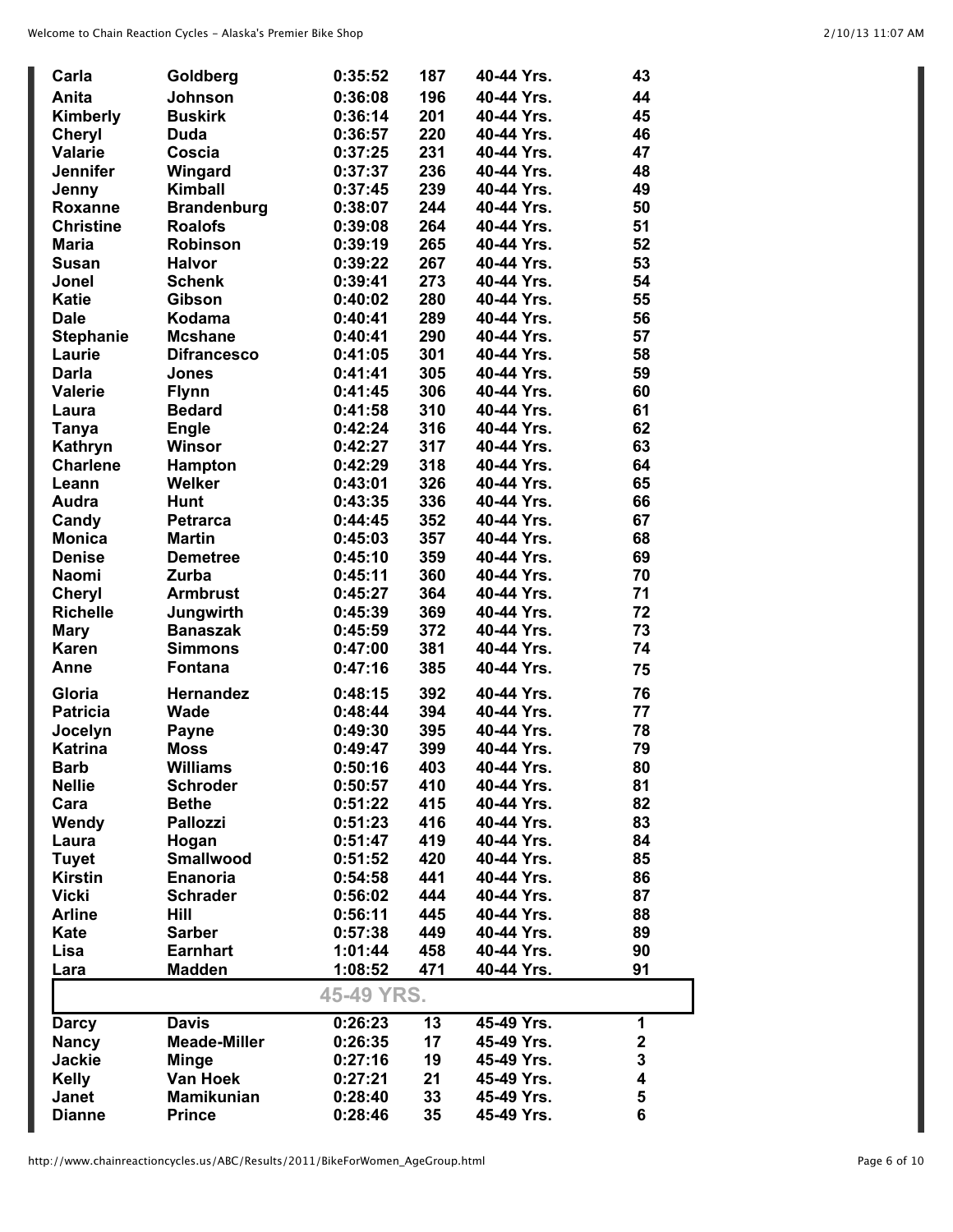| Carla            | Goldberg            | 0:35:52    | 187 | 40-44 Yrs. | 43          |
|------------------|---------------------|------------|-----|------------|-------------|
| Anita            | Johnson             | 0:36:08    | 196 | 40-44 Yrs. | 44          |
| Kimberly         | <b>Buskirk</b>      | 0:36:14    | 201 | 40-44 Yrs. | 45          |
| <b>Cheryl</b>    | <b>Duda</b>         | 0:36:57    | 220 | 40-44 Yrs. | 46          |
| <b>Valarie</b>   | Coscia              | 0:37:25    | 231 | 40-44 Yrs. | 47          |
| <b>Jennifer</b>  | Wingard             | 0:37:37    | 236 | 40-44 Yrs. | 48          |
| Jenny            | Kimball             | 0:37:45    | 239 | 40-44 Yrs. | 49          |
| Roxanne          | <b>Brandenburg</b>  | 0:38:07    | 244 | 40-44 Yrs. | 50          |
| <b>Christine</b> | <b>Roalofs</b>      | 0:39:08    | 264 | 40-44 Yrs. | 51          |
| <b>Maria</b>     | <b>Robinson</b>     | 0:39:19    | 265 | 40-44 Yrs. | 52          |
| <b>Susan</b>     | <b>Halvor</b>       | 0:39:22    | 267 | 40-44 Yrs. | 53          |
| Jonel            | <b>Schenk</b>       | 0:39:41    | 273 | 40-44 Yrs. | 54          |
| <b>Katie</b>     | Gibson              | 0:40:02    | 280 | 40-44 Yrs. | 55          |
| <b>Dale</b>      | Kodama              | 0:40:41    | 289 | 40-44 Yrs. | 56          |
| <b>Stephanie</b> | <b>Mcshane</b>      | 0:40:41    | 290 | 40-44 Yrs. | 57          |
| Laurie           | <b>Difrancesco</b>  | 0:41:05    | 301 | 40-44 Yrs. | 58          |
| <b>Darla</b>     | <b>Jones</b>        | 0:41:41    | 305 | 40-44 Yrs. | 59          |
| <b>Valerie</b>   | <b>Flynn</b>        | 0:41:45    | 306 | 40-44 Yrs. | 60          |
| Laura            | <b>Bedard</b>       | 0:41:58    | 310 | 40-44 Yrs. | 61          |
| <b>Tanya</b>     | <b>Engle</b>        | 0:42:24    | 316 | 40-44 Yrs. | 62          |
| Kathryn          | Winsor              | 0:42:27    | 317 | 40-44 Yrs. | 63          |
| <b>Charlene</b>  | Hampton             | 0:42:29    | 318 | 40-44 Yrs. | 64          |
| Leann            | Welker              | 0:43:01    | 326 | 40-44 Yrs. | 65          |
| Audra            | <b>Hunt</b>         | 0:43:35    | 336 | 40-44 Yrs. | 66          |
| Candy            | <b>Petrarca</b>     | 0:44:45    | 352 | 40-44 Yrs. | 67          |
| <b>Monica</b>    | <b>Martin</b>       | 0:45:03    | 357 | 40-44 Yrs. | 68          |
| <b>Denise</b>    | <b>Demetree</b>     | 0:45:10    | 359 | 40-44 Yrs. | 69          |
| <b>Naomi</b>     | Zurba               | 0:45:11    | 360 | 40-44 Yrs. | 70          |
| <b>Cheryl</b>    | <b>Armbrust</b>     | 0:45:27    | 364 | 40-44 Yrs. | 71          |
| <b>Richelle</b>  | Jungwirth           | 0:45:39    | 369 | 40-44 Yrs. | 72          |
| <b>Mary</b>      | <b>Banaszak</b>     | 0:45:59    | 372 | 40-44 Yrs. | 73          |
| <b>Karen</b>     | <b>Simmons</b>      | 0:47:00    | 381 | 40-44 Yrs. | 74          |
| Anne             | <b>Fontana</b>      | 0:47:16    | 385 | 40-44 Yrs. | 75          |
| Gloria           | <b>Hernandez</b>    | 0:48:15    | 392 | 40-44 Yrs. | 76          |
| <b>Patricia</b>  | Wade                | 0:48:44    | 394 | 40-44 Yrs. | 77          |
| Jocelyn          | <b>Payne</b>        | 0:49:30    | 395 | 40-44 Yrs. | 78          |
| <b>Katrina</b>   | <b>Moss</b>         | 0:49:47    | 399 | 40-44 Yrs. | 79          |
| Barb             | Williams            | 0:50:16    | 403 | 40-44 Yrs. | 80          |
| <b>Nellie</b>    | <b>Schroder</b>     | 0:50:57    | 410 | 40-44 Yrs. | 81          |
| Cara             | <b>Bethe</b>        | 0:51:22    | 415 | 40-44 Yrs. | 82          |
| Wendy            | <b>Pallozzi</b>     | 0:51:23    | 416 | 40-44 Yrs. | 83          |
| Laura            | Hogan               | 0:51:47    | 419 | 40-44 Yrs. | 84          |
| <b>Tuyet</b>     | <b>Smallwood</b>    | 0:51:52    | 420 | 40-44 Yrs. | 85          |
| <b>Kirstin</b>   | <b>Enanoria</b>     | 0:54:58    | 441 | 40-44 Yrs. | 86          |
| <b>Vicki</b>     | <b>Schrader</b>     | 0:56:02    | 444 | 40-44 Yrs. | 87          |
| <b>Arline</b>    | Hill                | 0:56:11    | 445 | 40-44 Yrs. | 88          |
| Kate             | <b>Sarber</b>       | 0:57:38    | 449 | 40-44 Yrs. | 89          |
| Lisa             | <b>Earnhart</b>     | 1:01:44    | 458 | 40-44 Yrs. | 90          |
| Lara             | <b>Madden</b>       | 1:08:52    | 471 | 40-44 Yrs. | 91          |
|                  |                     | 45-49 YRS. |     |            |             |
| <b>Darcy</b>     | <b>Davis</b>        | 0:26:23    | 13  | 45-49 Yrs. | 1           |
| <b>Nancy</b>     | <b>Meade-Miller</b> | 0:26:35    | 17  | 45-49 Yrs. | $\mathbf 2$ |
| <b>Jackie</b>    | <b>Minge</b>        | 0:27:16    | 19  | 45-49 Yrs. | 3           |
| <b>Kelly</b>     | Van Hoek            | 0:27:21    | 21  | 45-49 Yrs. | 4           |
| <b>Janet</b>     | <b>Mamikunian</b>   | 0:28:40    | 33  | 45-49 Yrs. | 5           |
| <b>Dianne</b>    | <b>Prince</b>       | 0:28:46    | 35  | 45-49 Yrs. | 6           |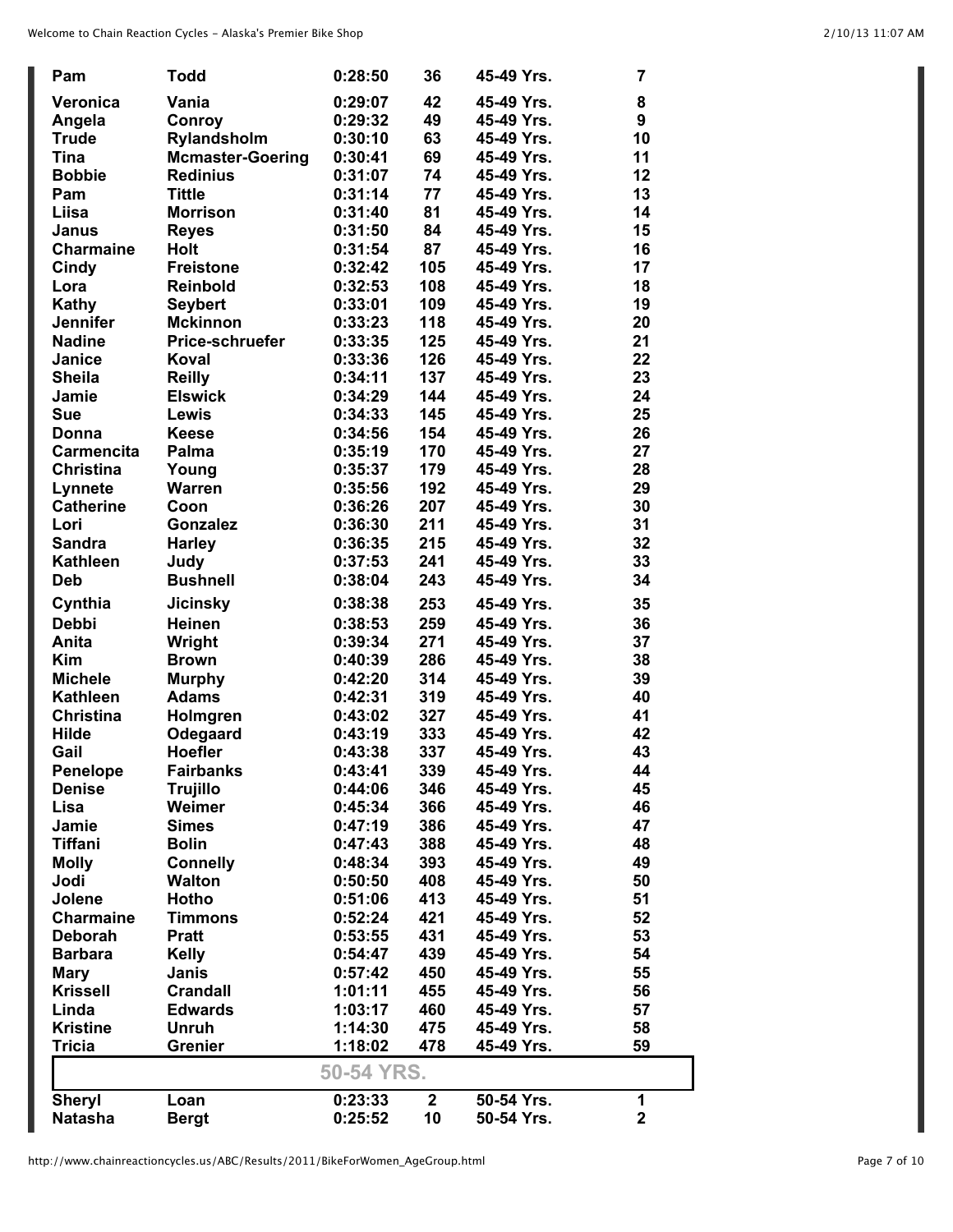| Pam               | <b>Todd</b>             | 0:28:50    | 36           | 45-49 Yrs. | 7                       |
|-------------------|-------------------------|------------|--------------|------------|-------------------------|
| Veronica          | Vania                   | 0:29:07    | 42           | 45-49 Yrs. | 8                       |
| Angela            | Conroy                  | 0:29:32    | 49           | 45-49 Yrs. | 9                       |
| <b>Trude</b>      | Rylandsholm             | 0:30:10    | 63           | 45-49 Yrs. | 10                      |
| <b>Tina</b>       | <b>Mcmaster-Goering</b> | 0:30:41    | 69           | 45-49 Yrs. | 11                      |
| <b>Bobbie</b>     | <b>Redinius</b>         | 0:31:07    | 74           | 45-49 Yrs. | 12                      |
| Pam               | <b>Tittle</b>           | 0:31:14    | 77           | 45-49 Yrs. | 13                      |
| Liisa             | <b>Morrison</b>         | 0:31:40    | 81           | 45-49 Yrs. | 14                      |
| Janus             | <b>Reyes</b>            | 0:31:50    | 84           | 45-49 Yrs. | 15                      |
| <b>Charmaine</b>  | <b>Holt</b>             | 0:31:54    | 87           | 45-49 Yrs. | 16                      |
| Cindy             | <b>Freistone</b>        | 0:32:42    | 105          | 45-49 Yrs. | 17                      |
| Lora              | <b>Reinbold</b>         | 0:32:53    | 108          | 45-49 Yrs. | 18                      |
| Kathy             | <b>Seybert</b>          | 0:33:01    | 109          | 45-49 Yrs. | 19                      |
| <b>Jennifer</b>   | <b>Mckinnon</b>         | 0:33:23    | 118          | 45-49 Yrs. | 20                      |
| <b>Nadine</b>     | Price-schruefer         | 0:33:35    | 125          | 45-49 Yrs. | 21                      |
| Janice            | Koval                   | 0:33:36    | 126          | 45-49 Yrs. | 22                      |
| <b>Sheila</b>     | <b>Reilly</b>           | 0:34:11    | 137          | 45-49 Yrs. | 23                      |
| Jamie             | <b>Elswick</b>          | 0:34:29    | 144          | 45-49 Yrs. | 24                      |
| <b>Sue</b>        | Lewis                   | 0:34:33    | 145          | 45-49 Yrs. | 25                      |
| Donna             | <b>Keese</b>            | 0:34:56    | 154          | 45-49 Yrs. | 26                      |
| <b>Carmencita</b> | Palma                   | 0:35:19    | 170          | 45-49 Yrs. | 27                      |
| <b>Christina</b>  | Young                   | 0:35:37    | 179          | 45-49 Yrs. | 28                      |
| Lynnete           | <b>Warren</b>           | 0:35:56    | 192          | 45-49 Yrs. | 29                      |
| <b>Catherine</b>  | Coon                    | 0:36:26    | 207          | 45-49 Yrs. | 30                      |
| Lori              | <b>Gonzalez</b>         | 0:36:30    | 211          | 45-49 Yrs. | 31                      |
| <b>Sandra</b>     | <b>Harley</b>           | 0:36:35    | 215          | 45-49 Yrs. | 32                      |
| <b>Kathleen</b>   | Judy                    | 0:37:53    | 241          | 45-49 Yrs. | 33                      |
| <b>Deb</b>        | <b>Bushnell</b>         | 0:38:04    | 243          | 45-49 Yrs. | 34                      |
| Cynthia           | <b>Jicinsky</b>         | 0:38:38    | 253          | 45-49 Yrs. | 35                      |
| <b>Debbi</b>      | <b>Heinen</b>           | 0:38:53    | 259          | 45-49 Yrs. | 36                      |
| Anita             | Wright                  | 0:39:34    | 271          | 45-49 Yrs. | 37                      |
| <b>Kim</b>        | <b>Brown</b>            | 0:40:39    | 286          | 45-49 Yrs. | 38                      |
| <b>Michele</b>    | <b>Murphy</b>           | 0:42:20    | 314          | 45-49 Yrs. | 39                      |
| <b>Kathleen</b>   | <b>Adams</b>            | 0:42:31    | 319          | 45-49 Yrs. | 40                      |
| <b>Christina</b>  | Holmgren                | 0:43:02    | 327          | 45-49 Yrs. | 41                      |
| <b>Hilde</b>      | Odegaard                | 0:43:19    | 333          | 45-49 Yrs. | 42                      |
| Gail              | <b>Hoefler</b>          | 0:43:38    | 337          | 45-49 Yrs. | 43                      |
| <b>Penelope</b>   | <b>Fairbanks</b>        | 0:43:41    | 339          | 45-49 Yrs. | 44                      |
| <b>Denise</b>     | <b>Trujillo</b>         | 0:44:06    | 346          | 45-49 Yrs. | 45                      |
| Lisa              | Weimer                  | 0:45:34    | 366          | 45-49 Yrs. | 46                      |
| Jamie             | <b>Simes</b>            | 0:47:19    | 386          | 45-49 Yrs. | 47                      |
| <b>Tiffani</b>    | <b>Bolin</b>            | 0:47:43    | 388          | 45-49 Yrs. | 48                      |
| <b>Molly</b>      | <b>Connelly</b>         | 0:48:34    | 393          | 45-49 Yrs. | 49                      |
| Jodi              | <b>Walton</b>           | 0:50:50    | 408          | 45-49 Yrs. | 50                      |
| Jolene            | Hotho                   | 0:51:06    | 413          | 45-49 Yrs. | 51                      |
| <b>Charmaine</b>  | <b>Timmons</b>          | 0:52:24    | 421          | 45-49 Yrs. | 52                      |
| <b>Deborah</b>    | <b>Pratt</b>            | 0:53:55    | 431          | 45-49 Yrs. | 53                      |
| <b>Barbara</b>    | Kelly                   | 0:54:47    | 439          | 45-49 Yrs. | 54                      |
| <b>Mary</b>       | Janis                   | 0:57:42    | 450          | 45-49 Yrs. | 55                      |
| <b>Krissell</b>   | <b>Crandall</b>         | 1:01:11    | 455          | 45-49 Yrs. | 56                      |
| Linda             | <b>Edwards</b>          | 1:03:17    | 460          | 45-49 Yrs. | 57                      |
| <b>Kristine</b>   | <b>Unruh</b>            | 1:14:30    | 475          | 45-49 Yrs. | 58                      |
| <b>Tricia</b>     | <b>Grenier</b>          | 1:18:02    | 478          | 45-49 Yrs. | 59                      |
|                   |                         | 50-54 YRS. |              |            |                         |
| <b>Sheryl</b>     | Loan                    | 0:23:33    | $\mathbf{2}$ | 50-54 Yrs. | 1                       |
| <b>Natasha</b>    | <b>Bergt</b>            | 0:25:52    | 10           | 50-54 Yrs. | $\overline{\mathbf{2}}$ |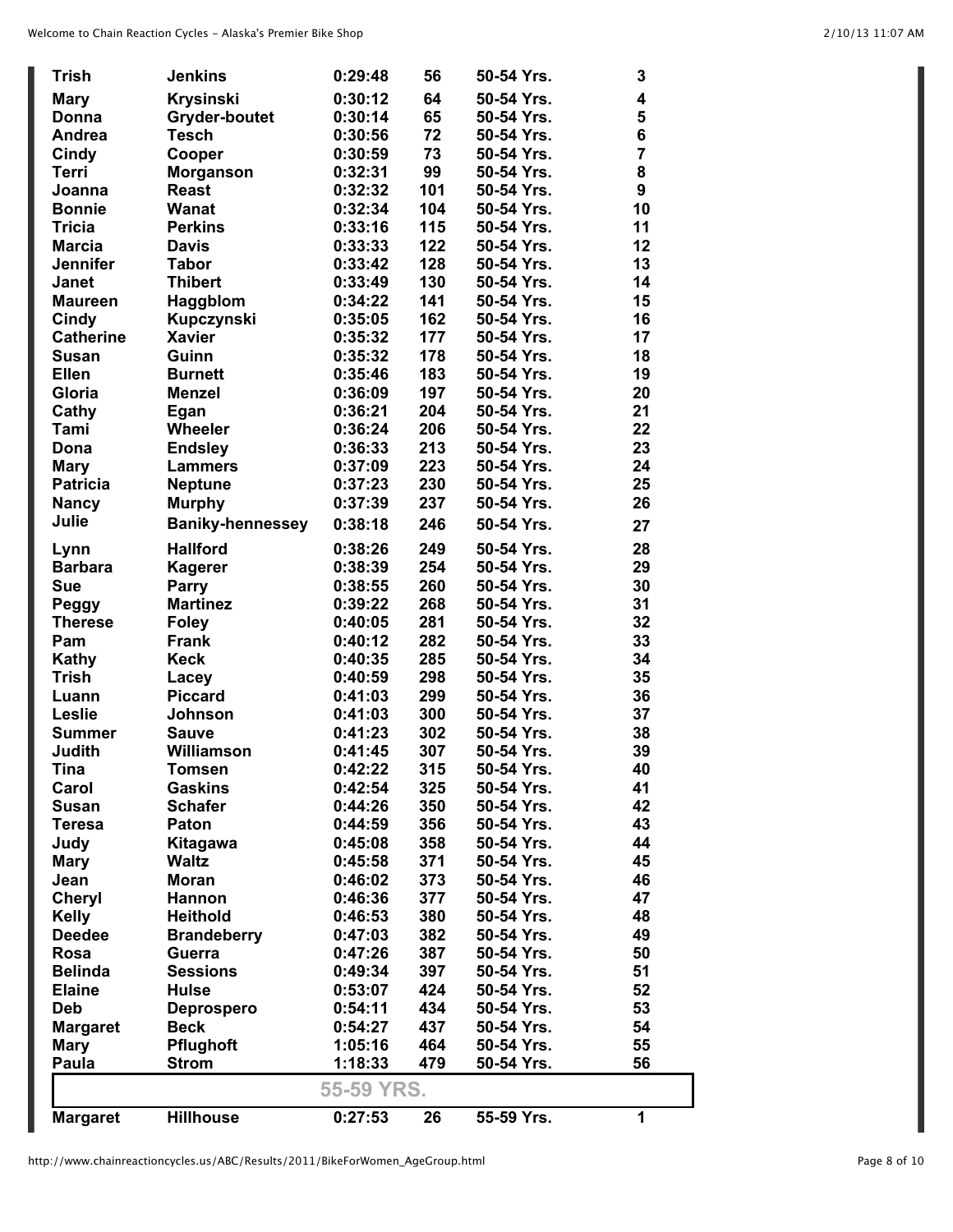| <b>Trish</b>     | <b>Jenkins</b>          | 0:29:48    | 56  | 50-54 Yrs. | 3              |
|------------------|-------------------------|------------|-----|------------|----------------|
| <b>Mary</b>      | <b>Krysinski</b>        | 0:30:12    | 64  | 50-54 Yrs. | 4              |
| Donna            | <b>Gryder-boutet</b>    | 0:30:14    | 65  | 50-54 Yrs. | 5              |
| Andrea           | <b>Tesch</b>            | 0:30:56    | 72  | 50-54 Yrs. | 6              |
| Cindy            | Cooper                  | 0:30:59    | 73  | 50-54 Yrs. | $\overline{7}$ |
| <b>Terri</b>     | <b>Morganson</b>        | 0:32:31    | 99  | 50-54 Yrs. | 8              |
| Joanna           | <b>Reast</b>            | 0:32:32    | 101 | 50-54 Yrs. | 9              |
| <b>Bonnie</b>    | Wanat                   | 0:32:34    | 104 | 50-54 Yrs. | 10             |
| <b>Tricia</b>    | <b>Perkins</b>          | 0:33:16    | 115 | 50-54 Yrs. | 11             |
| <b>Marcia</b>    | <b>Davis</b>            | 0:33:33    | 122 | 50-54 Yrs. | 12             |
| <b>Jennifer</b>  | <b>Tabor</b>            | 0:33:42    | 128 | 50-54 Yrs. | 13             |
| <b>Janet</b>     | <b>Thibert</b>          | 0:33:49    | 130 | 50-54 Yrs. | 14             |
| <b>Maureen</b>   | Haggblom                | 0:34:22    | 141 | 50-54 Yrs. | 15             |
| Cindy            | Kupczynski              | 0:35:05    | 162 | 50-54 Yrs. | 16             |
| <b>Catherine</b> | <b>Xavier</b>           | 0:35:32    | 177 | 50-54 Yrs. | 17             |
| <b>Susan</b>     | Guinn                   | 0:35:32    | 178 | 50-54 Yrs. | 18             |
| <b>Ellen</b>     | <b>Burnett</b>          | 0:35:46    | 183 | 50-54 Yrs. | 19             |
| Gloria           | <b>Menzel</b>           | 0:36:09    | 197 | 50-54 Yrs. | 20             |
| Cathy            | Egan                    | 0:36:21    | 204 | 50-54 Yrs. | 21             |
| Tami             | Wheeler                 | 0:36:24    | 206 | 50-54 Yrs. | 22             |
| Dona             | <b>Endsley</b>          | 0:36:33    | 213 | 50-54 Yrs. | 23             |
| <b>Mary</b>      | <b>Lammers</b>          | 0:37:09    | 223 | 50-54 Yrs. | 24             |
| <b>Patricia</b>  | <b>Neptune</b>          | 0:37:23    | 230 | 50-54 Yrs. | 25             |
| <b>Nancy</b>     | <b>Murphy</b>           | 0:37:39    | 237 | 50-54 Yrs. | 26             |
| Julie            | <b>Baniky-hennessey</b> | 0:38:18    | 246 | 50-54 Yrs. | 27             |
| Lynn             | <b>Hallford</b>         | 0:38:26    | 249 | 50-54 Yrs. | 28             |
| <b>Barbara</b>   | <b>Kagerer</b>          | 0:38:39    | 254 | 50-54 Yrs. | 29             |
| Sue              | <b>Parry</b>            | 0:38:55    | 260 | 50-54 Yrs. | 30             |
| Peggy            | <b>Martinez</b>         | 0:39:22    | 268 | 50-54 Yrs. | 31             |
| <b>Therese</b>   | <b>Foley</b>            | 0:40:05    | 281 | 50-54 Yrs. | 32             |
| Pam              | Frank                   | 0:40:12    | 282 | 50-54 Yrs. | 33             |
| Kathy            | <b>Keck</b>             | 0:40:35    | 285 | 50-54 Yrs. | 34             |
| <b>Trish</b>     | Lacey                   | 0:40:59    | 298 | 50-54 Yrs. | 35             |
| Luann            | <b>Piccard</b>          | 0:41:03    | 299 | 50-54 Yrs. | 36             |
| Leslie           | <b>Johnson</b>          | 0:41:03    | 300 | 50-54 Yrs. | 37             |
| <b>Summer</b>    | <b>Sauve</b>            | 0:41:23    | 302 | 50-54 Yrs. | 38             |
| Judith           | Williamson              | 0:41:45    | 307 | 50-54 Yrs. | 39             |
| Tina             | Tomsen                  | 0:42:22    | 315 | 50-54 Yrs. | 40             |
| Carol            | <b>Gaskins</b>          | 0:42:54    | 325 | 50-54 Yrs. | 41             |
| <b>Susan</b>     | <b>Schafer</b>          | 0:44:26    | 350 | 50-54 Yrs. | 42             |
| <b>Teresa</b>    | Paton                   | 0:44:59    | 356 | 50-54 Yrs. | 43             |
| Judy             | Kitagawa                | 0:45:08    | 358 | 50-54 Yrs. | 44             |
| <b>Mary</b>      | <b>Waltz</b>            | 0:45:58    | 371 | 50-54 Yrs. | 45             |
| Jean             | <b>Moran</b>            | 0:46:02    | 373 | 50-54 Yrs. | 46             |
| <b>Cheryl</b>    | Hannon                  | 0:46:36    | 377 | 50-54 Yrs. | 47             |
| <b>Kelly</b>     | <b>Heithold</b>         | 0:46:53    | 380 | 50-54 Yrs. | 48             |
| <b>Deedee</b>    | <b>Brandeberry</b>      | 0:47:03    | 382 | 50-54 Yrs. | 49             |
| Rosa             | Guerra                  | 0:47:26    | 387 | 50-54 Yrs. | 50             |
| <b>Belinda</b>   | <b>Sessions</b>         | 0:49:34    | 397 | 50-54 Yrs. | 51             |
| <b>Elaine</b>    | <b>Hulse</b>            | 0:53:07    | 424 | 50-54 Yrs. | 52             |
| <b>Deb</b>       | Deprospero              | 0:54:11    | 434 | 50-54 Yrs. | 53             |
| <b>Margaret</b>  | <b>Beck</b>             | 0:54:27    | 437 | 50-54 Yrs. | 54             |
| <b>Mary</b>      | Pflughoft               | 1:05:16    | 464 | 50-54 Yrs. | 55             |
| Paula            | <b>Strom</b>            | 1:18:33    | 479 | 50-54 Yrs. | 56             |
|                  |                         | 55-59 YRS. |     |            |                |
| <b>Margaret</b>  | <b>Hillhouse</b>        | 0:27:53    | 26  | 55-59 Yrs. | 1              |

L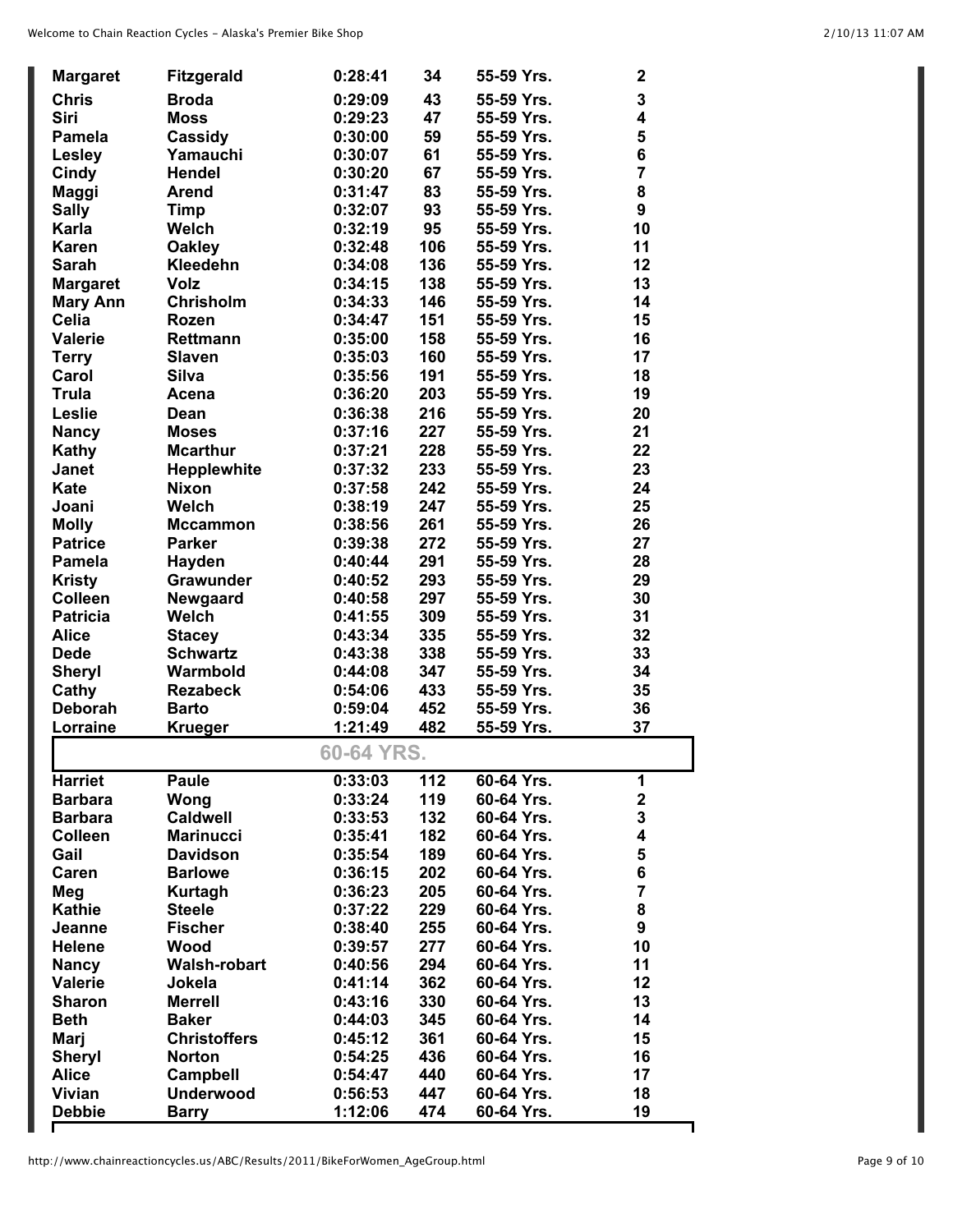| <b>Margaret</b> | <b>Fitzgerald</b>   | 0:28:41    | 34  | 55-59 Yrs. | $\mathbf{2}$            |
|-----------------|---------------------|------------|-----|------------|-------------------------|
| <b>Chris</b>    | <b>Broda</b>        | 0:29:09    | 43  | 55-59 Yrs. | 3                       |
| Siri            | <b>Moss</b>         | 0:29:23    | 47  | 55-59 Yrs. | $\overline{\mathbf{4}}$ |
| <b>Pamela</b>   | Cassidy             | 0:30:00    | 59  | 55-59 Yrs. | 5                       |
| <b>Lesley</b>   | Yamauchi            | 0:30:07    | 61  | 55-59 Yrs. | 6                       |
| <b>Cindy</b>    | <b>Hendel</b>       | 0:30:20    | 67  | 55-59 Yrs. | $\overline{7}$          |
| Maggi           | <b>Arend</b>        | 0:31:47    | 83  | 55-59 Yrs. | 8                       |
| <b>Sally</b>    | Timp                | 0:32:07    | 93  | 55-59 Yrs. | 9                       |
| Karla           | <b>Welch</b>        | 0:32:19    | 95  | 55-59 Yrs. | 10                      |
| <b>Karen</b>    | <b>Oakley</b>       | 0:32:48    | 106 | 55-59 Yrs. | 11                      |
| <b>Sarah</b>    | Kleedehn            | 0:34:08    | 136 | 55-59 Yrs. | 12                      |
| <b>Margaret</b> | <b>Volz</b>         | 0:34:15    | 138 | 55-59 Yrs. | 13                      |
| <b>Mary Ann</b> | Chrisholm           | 0:34:33    | 146 | 55-59 Yrs. | 14                      |
| <b>Celia</b>    | <b>Rozen</b>        | 0:34:47    | 151 | 55-59 Yrs. | 15                      |
| <b>Valerie</b>  | <b>Rettmann</b>     | 0:35:00    | 158 | 55-59 Yrs. | 16                      |
| <b>Terry</b>    | <b>Slaven</b>       | 0:35:03    | 160 | 55-59 Yrs. | 17                      |
| Carol           | <b>Silva</b>        | 0:35:56    | 191 | 55-59 Yrs. | 18                      |
| <b>Trula</b>    | Acena               | 0:36:20    | 203 | 55-59 Yrs. | 19                      |
| Leslie          | Dean                | 0:36:38    | 216 | 55-59 Yrs. | 20                      |
| <b>Nancy</b>    | <b>Moses</b>        | 0:37:16    | 227 | 55-59 Yrs. | 21                      |
| Kathy           | <b>Mcarthur</b>     | 0:37:21    | 228 | 55-59 Yrs. | 22                      |
| <b>Janet</b>    | Hepplewhite         | 0:37:32    | 233 | 55-59 Yrs. | 23                      |
| <b>Kate</b>     | <b>Nixon</b>        | 0:37:58    | 242 | 55-59 Yrs. | 24                      |
| Joani           | Welch               | 0:38:19    | 247 | 55-59 Yrs. | 25                      |
| <b>Molly</b>    | <b>Mccammon</b>     | 0:38:56    | 261 | 55-59 Yrs. | 26                      |
| <b>Patrice</b>  | <b>Parker</b>       | 0:39:38    | 272 | 55-59 Yrs. | 27                      |
| <b>Pamela</b>   | Hayden              | 0:40:44    | 291 | 55-59 Yrs. | 28                      |
| <b>Kristy</b>   | <b>Grawunder</b>    | 0:40:52    | 293 | 55-59 Yrs. | 29                      |
| <b>Colleen</b>  | Newgaard            | 0:40:58    | 297 | 55-59 Yrs. | 30                      |
| <b>Patricia</b> | Welch               | 0:41:55    | 309 | 55-59 Yrs. | 31                      |
| <b>Alice</b>    | <b>Stacey</b>       | 0:43:34    | 335 | 55-59 Yrs. | 32                      |
| <b>Dede</b>     | <b>Schwartz</b>     | 0:43:38    | 338 | 55-59 Yrs. | 33                      |
| <b>Sheryl</b>   | Warmbold            | 0:44:08    | 347 | 55-59 Yrs. | 34                      |
| Cathy           | <b>Rezabeck</b>     | 0:54:06    | 433 | 55-59 Yrs. | 35                      |
| <b>Deborah</b>  | <b>Barto</b>        | 0:59:04    | 452 | 55-59 Yrs. | 36                      |
| Lorraine        | <b>Krueger</b>      | 1:21:49    | 482 | 55-59 Yrs. | 37                      |
|                 |                     | 60-64 YRS. |     |            |                         |
| <b>Harriet</b>  | <b>Paule</b>        | 0:33:03    | 112 | 60-64 Yrs. | 1                       |
| <b>Barbara</b>  | Wong                | 0:33:24    | 119 | 60-64 Yrs. | $\mathbf 2$             |
| <b>Barbara</b>  | <b>Caldwell</b>     | 0:33:53    | 132 | 60-64 Yrs. | 3                       |
| <b>Colleen</b>  | <b>Marinucci</b>    | 0:35:41    | 182 | 60-64 Yrs. | 4                       |
| Gail            | <b>Davidson</b>     | 0:35:54    | 189 | 60-64 Yrs. | 5                       |
| Caren           | <b>Barlowe</b>      | 0:36:15    | 202 | 60-64 Yrs. | 6                       |
| Meg             | Kurtagh             | 0:36:23    | 205 | 60-64 Yrs. | $\overline{7}$          |
| <b>Kathie</b>   | <b>Steele</b>       | 0:37:22    | 229 | 60-64 Yrs. | 8                       |
| Jeanne          | <b>Fischer</b>      | 0:38:40    | 255 | 60-64 Yrs. | $\boldsymbol{9}$        |
| <b>Helene</b>   | Wood                | 0:39:57    | 277 | 60-64 Yrs. | 10                      |
| <b>Nancy</b>    | <b>Walsh-robart</b> | 0:40:56    | 294 | 60-64 Yrs. | 11                      |
| <b>Valerie</b>  | Jokela              | 0:41:14    | 362 | 60-64 Yrs. | 12                      |
| <b>Sharon</b>   | <b>Merrell</b>      | 0:43:16    | 330 | 60-64 Yrs. | 13                      |
| <b>Beth</b>     | <b>Baker</b>        | 0:44:03    | 345 | 60-64 Yrs. | 14                      |
| Marj            | <b>Christoffers</b> | 0:45:12    | 361 | 60-64 Yrs. | 15                      |
| <b>Sheryl</b>   | <b>Norton</b>       | 0:54:25    | 436 | 60-64 Yrs. | 16                      |
| <b>Alice</b>    | <b>Campbell</b>     | 0:54:47    | 440 | 60-64 Yrs. | 17                      |
| <b>Vivian</b>   | <b>Underwood</b>    | 0:56:53    | 447 | 60-64 Yrs. | 18                      |
| <b>Debbie</b>   | <b>Barry</b>        | 1:12:06    | 474 | 60-64 Yrs. | 19                      |
|                 |                     |            |     |            |                         |